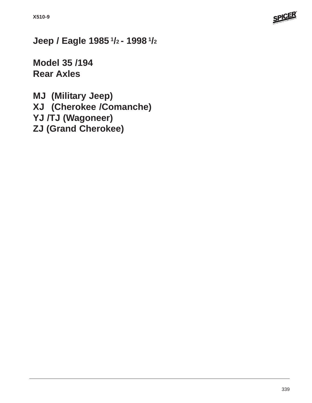

**Jeep / Eagle 1985 1/2 - 1998 1/2**

**Model 35 /194 Rear Axles**

**MJ (Military Jeep) XJ (Cherokee /Comanche) YJ /TJ (Wagoneer) ZJ (Grand Cherokee)**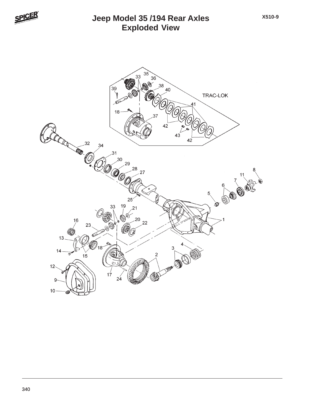

# **Exploded View Jeep Model 35 /194 Rear Axles**

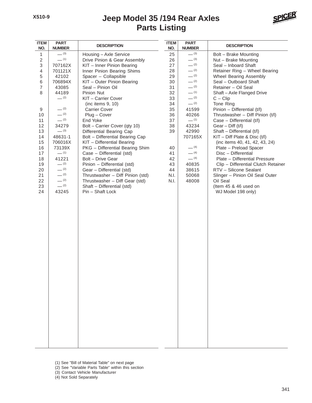

| <b>ITEM</b><br>NO. | <b>PART</b><br><b>NUMBER</b> | <b>DESCRIPTION</b>               | <b>ITEM</b><br>NO. | <b>PART</b><br><b>NUMBER</b> | <b>DESCRIPTION</b>                  |
|--------------------|------------------------------|----------------------------------|--------------------|------------------------------|-------------------------------------|
| $\mathbf{1}$       | $- (3)$                      | Housing - Axle Service           | 25                 | $- (3)$                      | Bolt - Brake Mounting               |
| $\overline{c}$     | $-$ (1)                      | Drive Pinion & Gear Assembly     | 26                 | $- (3)$                      | Nut - Brake Mounting                |
| 3                  | 707162X                      | KIT - Inner Pinion Bearing       | 27                 | $- (2)$                      | Seal - Inboard Shaft                |
| 4                  | 701121X                      | Inner Pinion Bearing Shims       | 28                 | $- (2)$                      | Retainer Ring - Wheel Bearing       |
| 5                  | 42102                        | Spacer - Collapsible             | 29                 | $- (2)$                      | Wheel Bearing Assembly              |
| 6                  | 706894X                      | KIT - Outer Pinion Bearing       | 30                 | $- (2)$                      | Seal - Outboard Shaft               |
| $\overline{7}$     | 43085                        | Seal - Pinion Oil                | 31                 | $- (2)$                      | Retainer - Oil Seal                 |
| 8                  | 44189                        | Pinion Nut                       | 32                 | $- (1)$                      | Shaft-Axle Flanged Drive            |
|                    | $-$ (2)                      | KIT - Carrier Cover              | 33                 | $- (2)$                      | $C - Clip$                          |
|                    |                              | (inc items 9, 10)                | 34                 | $- (2)$                      | Tone Ring                           |
| 9                  | $- (2)$                      | <b>Carrier Cover</b>             | 35                 | 41599                        | Pinion - Differential (t/l)         |
| 10                 | $- (2)$                      | Plug - Cover                     | 36                 | 40266                        | Thrustwasher - Diff Pinion (t/l)    |
| 11                 | $- (2)$                      | End Yoke                         | 37                 | $-$ (1)                      | Case - Differential (t/l)           |
| 12                 | 34279                        | Bolt - Carrier Cover (qty 10)    | 38                 | 43234                        | Gear $-$ Diff $(t/l)$               |
| 13                 | $- (3)$                      | Differential Bearing Cap         | 39                 | 42990                        | Shaft - Differential (t/l)          |
| 14                 | 48631-1                      | Bolt - Differential Bearing Cap  |                    | 707165X                      | $KIT - Diff Plate & Disc (t/l)$     |
| 15                 | 706016X                      | KIT - Differential Bearing       |                    |                              | (inc items 40, 41, 42, 43, 24)      |
| 16                 | 73139X                       | PKG - Differential Bearing Shim  | 40                 | $- (4)$                      | Plate - Preload Spacer              |
| 17                 | $-$ (1)                      | Case - Differential (std)        | 41                 | $- (4)$                      | Disc - Differential                 |
| 18                 | 41221                        | Bolt - Drive Gear                | 42                 | $- (4)$                      | Plate - Differential Pressure       |
| 19                 | $- (2)$                      | Pinion - Differential (std)      | 43                 | 40835                        | Clip - Differential Clutch Retainer |
| 20                 | $- (2)$                      | Gear - Differential (std)        | 44                 | 38615                        | RTV - Silicone Sealant              |
| 21                 | $- (2)$                      | Thrustwasher - Diff Pinion (std) | N.I.               | 50068                        | Slinger - Pinion Oil Seal Outer     |
| 22                 | $- (2)$                      | Thrustwasher - Diff Gear (std)   | N.I.               | 48008                        | Oil Seal                            |
| 23                 | $- (2)$                      | Shaft - Differential (std)       |                    |                              | (Item 45 & 46 used on               |
| 24                 | 43245                        | Pin - Shaft Lock                 |                    |                              | WJ Model 198 only)                  |
|                    |                              |                                  |                    |                              |                                     |
|                    |                              |                                  |                    |                              |                                     |
|                    |                              |                                  |                    |                              |                                     |
|                    |                              |                                  |                    |                              |                                     |
|                    |                              |                                  |                    |                              |                                     |
|                    |                              |                                  |                    |                              |                                     |
|                    |                              |                                  |                    |                              |                                     |
|                    |                              |                                  |                    |                              |                                     |
|                    |                              |                                  |                    |                              |                                     |
|                    |                              |                                  |                    |                              |                                     |
|                    |                              |                                  |                    |                              |                                     |
|                    |                              |                                  |                    |                              |                                     |
|                    |                              |                                  |                    |                              |                                     |
|                    |                              |                                  |                    |                              |                                     |
|                    |                              |                                  |                    |                              |                                     |
|                    |                              |                                  |                    |                              |                                     |
|                    |                              |                                  |                    |                              |                                     |
|                    |                              |                                  |                    |                              |                                     |
|                    |                              |                                  |                    |                              |                                     |
|                    |                              |                                  |                    |                              |                                     |
|                    |                              |                                  |                    |                              |                                     |
|                    |                              |                                  |                    |                              |                                     |
|                    |                              |                                  |                    |                              |                                     |
|                    |                              |                                  |                    |                              |                                     |
|                    |                              |                                  |                    |                              |                                     |
|                    |                              |                                  |                    |                              |                                     |
|                    |                              |                                  |                    |                              |                                     |
|                    |                              |                                  |                    |                              |                                     |

- (1) See "Bill of Material Table" on next page
- (2) See "Variable Parts Table" within this section
- (3) Contact Vehicle Manufacturer
- (4) Not Sold Separately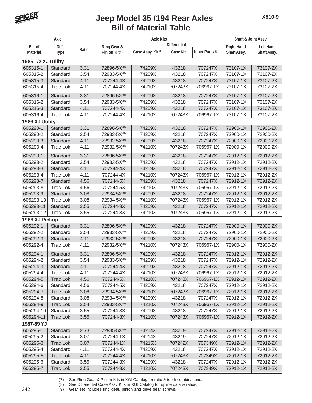

| Axle                        |                 |       |                           | <b>Axle Kits</b>              |                     |                        | Shaft & Joint Assy. |                  |
|-----------------------------|-----------------|-------|---------------------------|-------------------------------|---------------------|------------------------|---------------------|------------------|
| <b>Bill of</b>              | Diff.           |       | Ring Gear &               |                               | <b>Differential</b> |                        | <b>Right Hand</b>   | <b>Left Hand</b> |
| <b>Material</b>             | <b>Type</b>     | Ratio | Pinion Kit <sup>(7)</sup> | Case Assy. Kit <sup>(8)</sup> | Case Kit            | <b>Inner Parts Kit</b> | Shaft Assy.         | Shaft Assy.      |
| 1985 1/2 XJ Utility         |                 |       |                           |                               |                     |                        |                     |                  |
| 605315-1                    | Standard        | 3.31  | 72896-5X(8)               | 74209X                        | 43218               | 707247X                | 73107-1X            | 73107-2X         |
| 605315-2                    | Standard        | 3.54  | 72933-5X(8)               | 74209X                        | 43218               | 707247X                | 73107-1X            | 73107-2X         |
| 605315-3                    | Standard        | 4.11  | 707244-4X                 | 74209X                        | 43218               | 707247X                | 73107-1X            | 73107-2X         |
| 605315-4                    | <b>Trac Lok</b> | 4.11  | 707244-4X                 | 74210X                        | 707243X             | 706967-1X              | 73107-1X            | 73107-2X         |
| 605316-1                    | Standard        | 3.31  | 72896-5X(8)               | 74209X                        | 43218               | 707247X                | 73107-1X            | 73107-2X         |
| 605316-2                    | Standard        | 3.54  | 72933-5X(8)               | 74209X                        | 43218               | 707247X                | 73107-1X            | 73107-2X         |
| 605316-3                    | Standard        | 4.11  | 707244-4X                 | 74209X                        | 43218               | 707247X                | 73107-1X            | 73107-2X         |
| 605316-4                    | <b>Trac Lok</b> | 4.11  | 707244-4X                 | 74210X                        | 707243X             | 706967-1X              | 73107-1X            | 73107-2X         |
|                             |                 |       |                           |                               |                     |                        |                     |                  |
| 1986 XJ Utility<br>605290-1 | Standard        | 3.31  | 72896-5X(8)               | 74209X                        | 43218               | 707247X                | 72900-1X            | 72900-2X         |
| 605290-2                    | Standard        | 3.54  | 72933-5X(8)               | 74209X                        | 43218               | 707247X                | 72900-1X            | 72900-2X         |
|                             | Standard        | 4.11  | 72932-5X(8)               | 74209X                        | 43218               | 707247X                | 72900-1X            | 72900-2X         |
| 605290-3                    |                 | 4.11  |                           | 74210X                        | 707243X             | 706967-1X              |                     | 72900-2X         |
| 605290-4                    | Trac Lok        |       | 72932-5X <sup>(8)</sup>   |                               |                     |                        | 72900-1X            |                  |
| 605293-1                    | Standard        | 3.31  | 72896-5X(8)               | 74209X                        | 43218               | 707247X                | 72912-1X            | 72912-2X         |
| 605293-2                    | Standard        | 3.54  | 72933-5X(8)               | 74209X                        | 43218               | 707247X                | 72912-1X            | 72912-2X         |
| 605293-3                    | Standard        | 4.11  | 707244-4X                 | 74209X                        | 43218               | 707247X                | 72912-1X            | 72912-2X         |
| 605293-4                    | <b>Trac Lok</b> | 4.11  | 707244-4X                 | 74210X                        | 707243X             | 706967-1X              | 72912-1X            | 72912-2X         |
| 605293-7                    | Standard        | 4.56  | 707244-5X                 | 74209X                        | 43218               | 707247X                | 72912-1X            | 72912-2X         |
| 605293-8                    | <b>Trac Lok</b> | 4.56  | 707244-5X                 | 74210X                        | 707243X             | 706967-1X              | 72912-1X            | 72912-2X         |
| 605293-9                    | Standard        | 3.08  | 72934-5X(8)               | 74209X                        | 43218               | 707247X                | 72912-1X            | 72912-2X         |
| 605293-10                   | <b>Trac Lok</b> | 3.08  | 72934-5X(8)               | 74210X                        | 707243X             | 706967-1X              | 72912-1X            | 72912-2X         |
| 605293-11                   | Standard        | 3.55  | 707244-3X                 | 74209X                        | 43218               | 707247X                | 72912-1X            | 72912-2X         |
| 605293-12                   | <b>Trac Lok</b> | 3.55  | 707244-3X                 | 74210X                        | 707243X             | 706967-1X              | 72912-1X            | 72912-2X         |
| 1986 XJ Pickup              |                 |       |                           |                               |                     |                        |                     |                  |
| 605292-1                    | Standard        | 3.31  | 72896-5X(8)               | 74209X                        | 43218               | 707247X                | 72900-1X            | 72900-2X         |
| 605292-2                    | Standard        | 3.54  | 72933-5X(8)               | 74209X                        | 43218               | 707247X                | 72900-1X            | 72900-2X         |
| 605292-3                    | Standard        | 4.11  | 72932-5X(8)               | 74209X                        | 43218               | 707247X                | 72900-1X            | 72900-2X         |
| 605292-4                    | Trac Lok        | 4.11  | 72932-5X(8)               | 74210X                        | 707243X             | 706967-1X              | 72900-1X            | 72900-2X         |
| 605294-1                    | Standard        | 3.31  | 72896-5X(8)               | 74209X                        | 43218               | 707247X                | 72912-1X            | 72912-2X         |
| 605294-2                    | Standard        | 3.54  | 72933-5X(8)               | 74209X                        | 43218               | 707247X                | 72912-1X            | 72912-2X         |
| 605294-3                    | Standard        | 4.11  | 707244-4X                 | 74209X                        | 43218               | 707247X                | 72912-1X            | 72912-2X         |
| 605294-4                    | Trac Lok        | 4.11  | 707244-4X                 | 74210X                        | 707243X             | 706967-1X              | 72912-1X            | 72912-2X         |
| 605294-5                    | <b>Trac Lok</b> | 4.56  | 707244-5X                 | 74210X                        | 707243X             | 706967-1X              | 72912-1X            | 72912-2X         |
| 605294-6                    | Standard        | 4.56  | 707244-5X                 | 74209X                        | 43218               | 707247X                | 72912-1X            | 72912-2X         |
| 605294-7                    | <b>Trac Lok</b> | 3.08  | 72934-5X(8)               | 74210X                        | 707243X             | 706967-1X              | 72912-1X            | 72912-2X         |
| 605294-8                    | Standard        | 3.08  | 72934-5X(8)               | 74209X                        | 43218               | 707247X                | 72912-1X            | 72912-2X         |
| 605294-9                    | <b>Trac Lok</b> | 3.54  | 72933-5X(8)               | 74210X                        | 707243X             | 706967-1X              | 72912-1X            | 72912-2X         |
| 605294-10                   | Standard        | 3.55  | 707244-3X                 | 74209X                        | 43218               | 707247X                | 72912-1X            | 72912-2X         |
| 605294-11                   | <b>Trac Lok</b> | 3.55  | 707244-3X                 | 74210X                        | 707243X             | 706967-1X              | 72912-1X            | 72912-2X         |
| 1987-89 YJ                  |                 |       |                           |                               |                     |                        |                     |                  |
| 605295-1                    | Standard        | 2.73  | 72935-5X(8)               | 74214X                        | 43219               | 707247X                | 72912-1X            | 72912-2X         |
| 605295-2                    | Standard        | 3.07  | 707244-1X                 | 74214X                        | 43219               | 707247X                | 72912-1X            | 72912-2X         |
| 605295-3                    | <b>Trac Lok</b> | 3.07  | 707244-1X                 | 74215X                        | 707242X             | 707349X                | 72912-1X            | 72912-2X         |
| 605295-4                    | Standard        | 4.11  | 707244-4X                 | 74209X                        | 43218               | 707247X                | 72912-1X            | 72912-2X         |
| 605295-5                    | <b>Trac Lok</b> | 4.11  | 707244-4X                 | 74210X                        | 707243X             | 707349X                | 72912-1X            | 72912-2X         |
| 605295-6                    | Standard        | 3.55  | 707244-3X                 | 74209X                        | 43218               | 707247X                | 72912-1X            | 72912-2X         |
| 605295-7                    | <b>Trac Lok</b> | 3.55  | 707244-3X                 | 74210X                        | 707243X             | 707349X                | 72912-1X            | 72912-2X         |

(7) See Ring Gear & Pinion Kits in XGI Catalog for ratio & tooth combinations.<br>(8) See Differential Case Assy Kits in XGI Catalog for spline data & ratios.

See Differential Case Assy Kits in XGI Catalog for spline data & ratios.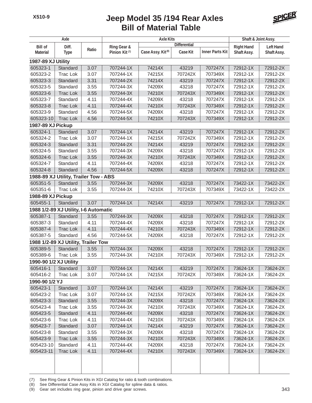

| Axle                   |                                                 |       |                           | <b>Axle Kits</b>              |                     |                        | Shaft & Joint Assy.  |                  |
|------------------------|-------------------------------------------------|-------|---------------------------|-------------------------------|---------------------|------------------------|----------------------|------------------|
| <b>Bill of</b>         | Diff.                                           |       | Ring Gear &               |                               | <b>Differential</b> |                        | <b>Right Hand</b>    | <b>Left Hand</b> |
| <b>Material</b>        | <b>Type</b>                                     | Ratio | Pinion Kit <sup>(7)</sup> | Case Assy. Kit <sup>(8)</sup> | <b>Case Kit</b>     | <b>Inner Parts Kit</b> | Shaft Assy.          | Shaft Assy.      |
| 1987-89 XJ Utility     |                                                 |       |                           |                               |                     |                        |                      |                  |
| 605323-1               | Standard                                        | 3.07  | 707244-1X                 | 74214X                        | 43219               | 707247X                | 72912-1X             | 72912-2X         |
| 605323-2               | <b>Trac Lok</b>                                 | 3.07  | 707244-1X                 | 74215X                        | 707242X             | 707349X                | 72912-1X             | 72912-2X         |
| 605323-3               | Standard                                        | 3.31  | 707244-2X                 | 74214X                        | 43219               | 707247X                | 72912-1X             | 72912-2X         |
| 605323-5               | Standard                                        | 3.55  | 707244-3X                 | 74209X                        | 43218               | 707247X                | 72912-1X             | 72912-2X         |
| 605323-6               | <b>Trac Lok</b>                                 | 3.55  | 707244-3X                 | 74210X                        | 707243X             | 707349X                | 72912-1X             | 72912-2X         |
| 605323-7               | Standard                                        | 4.11  | 707244-4X                 | 74209X                        | 43218               | 707247X                | 72912-1X             | 72912-2X         |
| 605323-8               | <b>Trac Lok</b>                                 | 4.11  | 707244-4X                 | 74210X                        | 707243X             | 707349X                | 72912-1X             | 72912-2X         |
| 605323-9               | Standard                                        | 4.56  | 707244-5X                 | 74209X                        | 43218               | 707247X                | 72912-1X             | 72912-2X         |
| 605323-10              | <b>Trac Lok</b>                                 | 4.56  | 707244-5X                 | 74210X                        | 707243X             | 707349X                | 72912-1X             | 72912-2X         |
| 1987-89 XJ Pickup      |                                                 |       |                           |                               |                     |                        |                      |                  |
| 605324-1               | Standard                                        | 3.07  | 707244-1X                 | 74214X                        | 43219               | 707247X                | 72912-1X             | 72912-2X         |
| 605324-2               | <b>Trac Lok</b>                                 | 3.07  | 707244-1X                 | 74215X                        | 707242X             | 707349X                | 72912-1X             | 72912-2X         |
| 605324-3               | Standard                                        | 3.31  | 707244-2X                 | 74214X                        | 43219               | 707247X                | 72912-1X             | 72912-2X         |
| 605324-5               | Standard                                        | 3.55  | 707244-3X                 | 74209X                        | 43218               | 707247X                | 72912-1X             | 72912-2X         |
| 605324-6               | <b>Trac Lok</b>                                 | 3.55  | 707244-3X                 | 74210X                        | 707243X             | 707349X                | 72912-1X             | 72912-2X         |
| 605324-7               | Standard                                        | 4.11  | 707244-4X                 | 74209X                        | 43218               | 707247X                | 72912-1X             | 72912-2X         |
| 605324-8               | Standard                                        | 4.56  | 707244-5X                 | 74209X                        | 43218               | 707247X                | 72912-1X             | 72912-2X         |
|                        | 1988-89 XJ Utility, Trailer Tow - ABS           |       |                           |                               |                     |                        |                      |                  |
| 605351-5               | Standard                                        | 3.55  | 707244-3X                 | 74209X                        | 43218               | 707247X                | 73422-1X             | 73422-2X         |
| 605351-6               | <b>Trac Lok</b>                                 | 3.55  | 707244-3X                 | 74210X                        | 707243X             | 707349X                | 73422-1X             | 73422-2X         |
| 1988-89 XJ Pickup      |                                                 |       |                           |                               |                     |                        |                      |                  |
| 605455-1               | Standard                                        | 3.07  | 707244-1X                 | 74214X                        | 43219               | 707247X                | 72912-1X             | 72912-2X         |
|                        | 1988 1/2-89 XJ Utility, I-6 Automatic           |       |                           |                               |                     |                        |                      |                  |
| 605387-1               |                                                 | 3.55  | 707244-3X                 | 74209X                        | 43218               | 707247X                | 72912-1X             | 72912-2X         |
| 605387-3               | Standard                                        | 4.11  |                           | 74209X                        | 43218               | 707247X                |                      | 72912-2X         |
| 605387-4               | Standard<br><b>Trac Lok</b>                     | 4.11  | 707244-4X<br>707244-4X    | 74210X                        | 707243X             | 707349X                | 72912-1X<br>72912-1X | 72912-2X         |
|                        | Standard                                        |       |                           |                               |                     |                        |                      |                  |
| 605387-5               |                                                 | 4.56  | 707244-5X                 | 74209X                        | 43218               | 707247X                | 72912-1X             | 72912-2X         |
|                        | 1988 1/2-89 XJ Utility, Trailer Tow<br>Standard |       |                           |                               | 43218               |                        |                      |                  |
| 605389-5               |                                                 | 3.55  | 707244-3X                 | 74209X<br>74210X              |                     | 707247X                | 72912-1X<br>72912-1X | 72912-2X         |
| 605389-6               | <b>Trac Lok</b>                                 | 3.55  | 707244-3X                 |                               | 707243X             | 707349X                |                      | 72912-2X         |
| 1990-90 1/2 XJ Utility |                                                 |       |                           |                               |                     |                        |                      |                  |
| 605416-1               | Standard                                        | 3.07  | 707244-1X                 | 74214X                        | 43219               | 707247X                | 73624-1X             | 73624-2X         |
| 605416-2               | Trac Lok                                        | 3.07  | 707244-1X                 | 74215X                        | 707242X             | 707349X                | 73624-1X             | 73624-2X         |
| 1990-90 1/2 YJ         |                                                 |       |                           |                               |                     |                        |                      |                  |
| 605423-1               | Standard                                        | 3.07  | 707244-1X                 | 74214X                        | 43219               | 707247X                | 73624-1X             | 73624-2X         |
| 605423-2               | Trac Lok                                        | 3.07  | 707244-1X                 | 74215X                        | 707242X             | 707349X                | 73624-1X             | 73624-2X         |
| 605423-3               | Standard                                        | 3.55  | 707244-3X                 | 74209X                        | 43218               | 707247X                | 73624-1X             | 73624-2X         |
| 605423-4               | Trac Lok                                        | 3.55  | 707244-3X                 | 74210X                        | 707243X             | 707349X                | 73624-1X             | 73624-2X         |
| 605423-5               | Standard                                        | 4.11  | 707244-4X                 | 74209X                        | 43218               | 707247X                | 73624-1X             | 73624-2X         |
| 605423-6               | Trac Lok                                        | 4.11  | 707244-4X                 | 74210X                        | 707243X             | 707349X                | 73624-1X             | 73624-2X         |
| 605423-7               | Standard                                        | 3.07  | 707244-1X                 | 74214X                        | 43219               | 707247X                | 73624-1X             | 73624-2X         |
| 605423-8               | Standard                                        | 3.55  | 707244-3X                 | 74209X                        | 43218               | 707247X                | 73624-1X             | 73624-2X         |
| 605423-9               | Trac Lok                                        | 3.55  | 707244-3X                 | 74210X                        | 707243X             | 707349X                | 73624-1X             | 73624-2X         |
| 605423-10              | Standard                                        | 4.11  | 707244-4X                 | 74209X                        | 43218               | 707247X                | 73624-1X             | 73624-2X         |
| 605423-11              | <b>Trac Lok</b>                                 | 4.11  | 707244-4X                 | 74210X                        | 707243X             | 707349X                | 73624-1X             | 73624-2X         |
|                        |                                                 |       |                           |                               |                     |                        |                      |                  |
|                        |                                                 |       |                           |                               |                     |                        |                      |                  |

(7) See Ring Gear & Pinion Kits in XGI Catalog for ratio & tooth combinations.

(8) See Differential Case Assy Kits in XGI Catalog for spline data & ratios.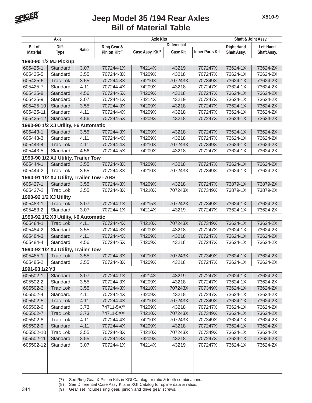

| Axle                   |                                           |       |                           | <b>Axle Kits</b>              |                     |                        | Shaft & Joint Assy. |                  |
|------------------------|-------------------------------------------|-------|---------------------------|-------------------------------|---------------------|------------------------|---------------------|------------------|
| <b>Bill of</b>         | Diff.                                     |       | Ring Gear &               |                               | <b>Differential</b> |                        | <b>Right Hand</b>   | <b>Left Hand</b> |
| <b>Material</b>        | <b>Type</b>                               | Ratio | Pinion Kit <sup>(7)</sup> | Case Assy. Kit <sup>(8)</sup> | <b>Case Kit</b>     | <b>Inner Parts Kit</b> | Shaft Assy.         | Shaft Assy.      |
|                        | 1990-90 1/2 MJ Pickup                     |       |                           |                               |                     |                        |                     |                  |
| 605425-1               | Standard                                  | 3.07  | 707244-1X                 | 74214X                        | 43219               | 707247X                | 73624-1X            | 73624-2X         |
| 605425-5               | Standard                                  | 3.55  | 707244-3X                 | 74209X                        | 43218               | 707247X                | 73624-1X            | 73624-2X         |
| 605425-6               | <b>Trac Lok</b>                           | 3.55  | 707244-3X                 | 74210X                        | 707243X             | 707349X                | 73624-1X            | 73624-2X         |
| 605425-7               | Standard                                  | 4.11  | 707244-4X                 | 74209X                        | 43218               | 707247X                | 73624-1X            | 73624-2X         |
| 605425-8               | Standard                                  | 4.56  | 707244-5X                 | 74209X                        | 43218               | 707247X                | 73624-1X            | 73624-2X         |
| 605425-9               | Standard                                  | 3.07  | 707244-1X                 | 74214X                        | 43219               | 707247X                | 73624-1X            | 73624-2X         |
| 605425-10              | Standard                                  | 3.55  | 707244-3X                 | 74209X                        | 43218               | 707247X                | 73624-1X            | 73624-2X         |
| 605425-11              | Standard                                  | 4.11  | 707244-4X                 | 74209X                        | 43218               | 707247X                | 73624-1X            | 73624-2X         |
| 605425-12              | Standard                                  | 4.56  | 707244-5X                 | 74209X                        | 43218               | 707247X                | 73624-1X            | 73624-2X         |
|                        | 1990-90 1/2 XJ Utility, I-6 Automatic     |       |                           |                               |                     |                        |                     |                  |
| 605443-1               | Standard                                  | 3.55  | 707244-3X                 | 74209X                        | 43218               | 707247X                | 73624-1X            | 73624-2X         |
| 605443-3               | Standard                                  | 4.11  | 707244-4X                 | 74209X                        | 43218               | 707247X                | 73624-1X            | 73624-2X         |
| 605443-4               | <b>Trac Lok</b>                           | 4.11  | 707244-4X                 | 74210X                        | 707243X             | 707349X                | 73624-1X            | 73624-2X         |
| 605443-5               | Standard                                  | 4.56  | 707244-5X                 | 74209X                        | 43218               | 707247X                | 73624-1X            | 73624-2X         |
|                        | 1990-90 1/2 XJ Utility, Trailer Tow       |       |                           |                               |                     |                        |                     |                  |
| 605444-1               | Standard                                  | 3.55  | 707244-3X                 | 74209X                        | 43218               | 707247X                | 73624-1X            | 73624-2X         |
| 605444-2               | <b>Trac Lok</b>                           | 3.55  | 707244-3X                 | 74210X                        | 707243X             | 707349X                | 73624-1X            | 73624-2X         |
|                        | 1990-91 1/2 XJ Utility, Trailer Tow - ABS |       |                           |                               |                     |                        |                     |                  |
| 605427-1               | Standard                                  | 3.55  | 707244-3X                 | 74209X                        | 43218               | 707247X                | 73879-1X            | 73879-2X         |
| 605427-2               | Trac Lok                                  | 3.55  | 707244-3X                 | 74210X                        | 707243X             | 707349X                | 73879-1X            | 73879-2X         |
| 1990-92 1/2 XJ Utility |                                           |       |                           |                               |                     |                        |                     |                  |
| 605483-1               | <b>Trac Lok</b>                           | 3.07  | 707244-1X                 | 74215X                        | 707242X             | 707349X                | 73624-1X            | 73624-2X         |
| 605483-2               | Standard                                  | 3.07  | 707244-1X                 | 74214X                        | 43219               | 707247X                | 73624-1X            | 73624-2X         |
|                        | 1990-92 1/2 XJ Utility, I-6 Automatic     |       |                           |                               |                     |                        |                     |                  |
| 605484-1               | <b>Trac Lok</b>                           | 4.11  | 707244-4X                 | 74210X                        | 707243X             | 707349X                | 73624-1X            | 73624-2X         |
| 605484-2               | Standard                                  | 3.55  | 707244-3X                 | 74209X                        | 43218               | 707247X                | 73624-1X            | 73624-2X         |
| 605484-3               | Standard                                  | 4.11  | 707244-4X                 | 74209X                        | 43218               | 707247X                | 73624-1X            | 73624-2X         |
| 605484-4               | Standard                                  | 4.56  | 707244-5X                 | 74209X                        | 43218               | 707247X                | 73624-1X            | 73624-2X         |
|                        | 1990-92 1/2 XJ Utility, Trailer Tow       |       |                           |                               |                     |                        |                     |                  |
| 605485-1               | <b>Trac Lok</b>                           | 3.55  | 707244-3X                 | 74210X                        | 707243X             | 707349X                | 73624-1X            | 73624-2X         |
| 605485-2               | Standard                                  | 3.55  | 707244-3X                 | 74209X                        | 43218               | 707247X                | 73624-1X            | 73624-2X         |
| 1991-93 1/2 YJ         |                                           |       |                           |                               |                     |                        |                     |                  |
| 605502-1               | Standard                                  | 3.07  | 707244-1X                 | 74214X                        | 43219               | 707247X                | 73624-1X            | 73624-2X         |
| 605502-2               | Standard                                  | 3.55  | 707244-3X                 | 74209X                        | 43218               | 707247X                | 73624-1X            | 73624-2X         |
| 605502-3               | Trac Lok                                  | 3.55  | 707244-3X                 | 74210X                        | 707243X             | 707349X                | 73624-1X            | 73624-2X         |
| 605502-4               | Standard                                  | 4.11  | 707244-4X                 | 74209X                        | 43218               | 707247X                | 73624-1X            | 73624-2X         |
| 605502-5               | <b>Trac Lok</b>                           | 4.11  | 707244-4X                 | 74210X                        | 707243X             | 707349X                | 73624-1X            | 73624-2X         |
| 605502-6               | Standard                                  | 3.73  | 74711-5X(8)               | 74209X                        | 43218               | 707247X                | 73624-1X            | 73624-2X         |
| 605502-7               | Trac Lok                                  | 3.73  | 74711-5X <sup>(8)</sup>   | 74210X                        | 707243X             | 707349X                | 73624-1X            | 73624-2X         |
| 605502-8               | Trac Lok                                  | 4.11  | 707244-4X                 | 74210X                        | 707243X             | 707349X                | 73624-1X            | 73624-2X         |
| 605502-9               | Standard                                  | 4.11  | 707244-4X                 | 74209X                        | 43218               | 707247X                | 73624-1X            | 73624-2X         |
| 605502-10              | Trac Lok                                  | 3.55  | 707244-3X                 | 74210X                        | 707243X             | 707349X                | 73624-1X            | 73624-2X         |
| 605502-11              | Standard                                  | 3.55  | 707244-3X                 | 74209X                        | 43218               | 707247X                | 73624-1X            | 73624-2X         |
| 605502-12              | Standard                                  | 3.07  | 707244-1X                 | 74214X                        | 43219               | 707247X                | 73624-1X            | 73624-2X         |
|                        |                                           |       |                           |                               |                     |                        |                     |                  |
|                        |                                           |       |                           |                               |                     |                        |                     |                  |
|                        |                                           |       |                           |                               |                     |                        |                     |                  |
|                        |                                           |       |                           |                               |                     |                        |                     |                  |

(7) See Ring Gear & Pinion Kits in XGI Catalog for ratio & tooth combinations.

(8) See Differential Case Assy Kits in XGI Catalog for spline data & ratios.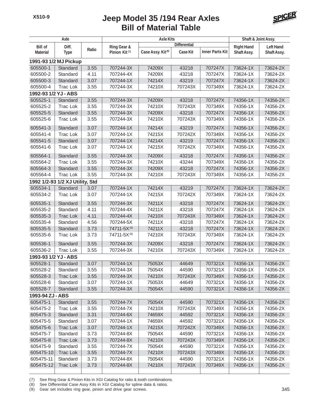

| Axle                 |                                             |              |                           | Shaft & Joint Assy.           |                     |                        |                      |                      |
|----------------------|---------------------------------------------|--------------|---------------------------|-------------------------------|---------------------|------------------------|----------------------|----------------------|
| <b>Bill of</b>       | Diff.                                       |              | Ring Gear &               |                               | <b>Differential</b> |                        | <b>Right Hand</b>    | <b>Left Hand</b>     |
| <b>Material</b>      | <b>Type</b>                                 | Ratio        | Pinion Kit <sup>(7)</sup> | Case Assy. Kit <sup>(8)</sup> | <b>Case Kit</b>     | <b>Inner Parts Kit</b> | Shaft Assy.          | Shaft Assy.          |
|                      | 1991-93 1/2 MJ Pickup                       |              |                           |                               |                     |                        |                      |                      |
| 605500-1             | Standard                                    | 3.55         | 707244-3X                 | 74209X                        | 43218               | 707247X                | 73624-1X             | 73624-2X             |
| 605500-2             | Standard                                    | 4.11         | 707244-4X                 | 74209X                        | 43218               | 707247X                | 73624-1X             | 73624-2X             |
| 605500-3             | Standard                                    | 3.07         | 707244-1X                 | 74214X                        | 43219               | 707247X                | 73624-1X             | 73624-2X             |
| 605500-4             | Trac Lok                                    | 3.55         | 707244-3X                 | 74210X                        | 707243X             | 707349X                | 73624-1X             | 73624-2X             |
| 1992-93 1/2 YJ - ABS |                                             |              |                           |                               |                     |                        |                      |                      |
| 605525-1             | Standard                                    | 3.55         | 707244-3X                 | 74209X                        | 43218               | 707247X                | 74356-1X             | 74356-2X             |
| 605525-2             | Trac Lok                                    | 3.55         | 707244-3X                 | 74210X                        | 707243X             | 707349X                | 74356-1X             | 74356-2X             |
| 605525-5             | Standard                                    | 3.55         | 707244-3X                 | 74209X                        | 43218               | 707247X                | 74356-1X             | 74356-2X             |
| 605525-6             | <b>Trac Lok</b>                             | 3.55         | 707244-3X                 | 74210X                        | 707243X             | 707349X                | 74356-1X             | 74356-2X             |
| 605541-3             | Standard                                    | 3.07         | 707244-1X                 | 74214X                        | 43219               | 707247X                | 74356-1X             | 74356-2X             |
| 605541-4             | <b>Trac Lok</b>                             | 3.07         | 707244-1X                 | 74215X                        | 707242X             | 707349X                | 74356-1X             | 74356-2X             |
| 605541-5             | Standard                                    | 3.07         | 707244-1X                 | 74214X                        | 43219               | 707247X                | 74356-1X             | 74356-2X             |
| 605541-6             | <b>Trac Lok</b>                             | 3.07         | 707244-1X                 | 74215X                        | 707242X             | 707349X                | 74356-1X             | 74356-2X             |
|                      |                                             |              |                           |                               |                     |                        |                      |                      |
| 605564-1             | Standard                                    | 3.55         | 707244-3X                 | 74209X                        | 43218               | 707247X                | 74356-1X             | 74356-2X             |
| 605564-2             | Trac Lok                                    | 3.55         | 707244-3X                 | 74210X                        | 43244<br>43218      | 707349X                | 74356-1X             | 74356-2X             |
| 605564-3             | Standard                                    | 3.55<br>3.55 | 707244-3X<br>707244-3X    | 74209X<br>74210X              |                     | 707247X                | 74356-1X             | 74356-2X             |
| 605564-4             | Trac Lok<br>1992 1/2-93 1/2 XJ Utility, Std |              |                           |                               | 707243X             | 707349X                | 74356-1X             | 74356-2X             |
| 605534-1             | Standard                                    | 3.07         | 707244-1X                 | 74214X                        | 43219               | 707247X                | 73624-1X             | 73624-2X             |
| 605534-2             | Trac Lok                                    | 3.07         | 707244-1X                 | 74215X                        | 707242X             | 707349X                | 73624-1X             | 73624-2X             |
|                      |                                             |              |                           |                               |                     |                        |                      |                      |
| 605535-1             | Standard                                    | 3.55         | 707244-3X                 | 74211X                        | 43218               | 707247X                | 73624-1X             | 73624-2X             |
| 605535-2             | Standard                                    | 4.11         | 707244-4X                 | 74211X                        | 43218               | 707247X                | 73624-1X             | 73624-2X             |
| 605535-3             | <b>Trac Lok</b>                             | 4.11         | 707244-4X                 | 74210X                        | 707243X             | 707349X                | 73624-1X             | 73624-2X             |
| 605535-4             | Standard                                    | 4.56         | 707244-5X                 | 74211X                        | 43218               | 707247X                | 73624-1X             | 73624-2X             |
| 605535-5             | Standard                                    | 3.73         | 74711-5X <sup>(8)</sup>   | 74211X                        | 43218               | 707247X                | 73624-1X             | 73624-2X             |
| 605535-6             | <b>Trac Lok</b>                             | 3.73         | 74711-5X <sup>(8)</sup>   | 74210X                        | 707243X             | 707349X                | 73624-1X             | 73624-2X             |
| 605536-1             | Standard                                    | 3.55         | 707244-3X                 | 74209X                        | 43218               | 707247X                | 73624-1X             | 73624-2X             |
| 605536-2             | Trac Lok                                    | 3.55         | 707244-3X                 | 74210X                        | 707243X             | 707349X                | 73624-1X             | 73624-2X             |
| 1993-93 1/2 YJ - ABS |                                             |              |                           |                               |                     |                        |                      |                      |
| 605528-1             | Standard                                    | 3.07         | 707244-1X                 | 75053X                        | 44649               | 707321X                | 74356-1X             | 74356-2X             |
| 605528-2             | Standard                                    | 3.55         | 707244-3X                 | 75054X                        | 44590               | 707321X                | 74356-1X             | 74356-2X             |
| 605528-3             | <b>Trac Lok</b>                             | 3.55         | 707244-3X                 | 74210X                        | 707243X             | 707349X                | 74356-1X             | 74356-2X             |
| 605528-6             | Standard                                    | 3.07         | 707244-1X                 | 75053X                        | 44649               | 707321X                | 74356-1X             | 74356-2X             |
| 605528-7             | Standard                                    | 3.55         | 707244-3X                 | 75054X                        | 44590               | 707321X                | 74356-1X             | 74356-2X             |
| 1993-94 ZJ - ABS     |                                             |              |                           |                               |                     |                        |                      |                      |
| 605475-1             | Standard                                    | 3.55         | 707244-7X                 | 75054X                        | 44590               | 707321X                | 74356-1X             | 74356-2X             |
| 605475-2             | Trac Lok                                    | 3.55         | 707244-7X                 | 74210X                        | 707243X             | 707349X                | 74356-1X             | 74356-2X             |
| 605475-3             | Standard                                    | 3.31         | 707244-6X                 | 74659X                        | 44592               | 707321X                | 74356-1X             | 74356-2X             |
| 605475-5             | Standard                                    | 3.07         | 707244-1X<br>707244-1X    | 74659X                        | 44592               | 707321X                | 74356-1X             | 74356-2X             |
| 605475-6<br>605475-7 | <b>Trac Lok</b><br>Standard                 | 3.07<br>3.73 | 707244-8X                 | 74215X<br>75054X              | 707242X<br>44590    | 707349X<br>707321X     | 74356-1X<br>74356-1X | 74356-2X<br>74356-2X |
| 605475-8             | <b>Trac Lok</b>                             | 3.73         | 707244-8X                 | 74210X                        | 707243X             | 707349X                | 74356-1X             | 74356-2X             |
| 605475-9             | Standard                                    | 3.55         | 707244-7X                 | 75054X                        | 44590               | 707321X                | 74356-1X             | 74356-2X             |
| 605475-10            | <b>Trac Lok</b>                             | 3.55         | 707244-7X                 | 74210X                        | 707243X             | 707349X                | 74356-1X             | 74356-2X             |
| 605475-11            | Standard                                    | 3.73         | 707244-8X                 | 75054X                        | 44590               | 707321X                | 74356-1X             | 74356-2X             |
| 605475-12            | <b>Trac Lok</b>                             | 3.73         | 707244-8X                 | 74210X                        | 707243X             | 707349X                | 74356-1X             | 74356-2X             |
|                      |                                             |              |                           |                               |                     |                        |                      |                      |

(7) See Ring Gear & Pinion Kits in XGI Catalog for ratio & tooth combinations.

(8) See Differential Case Assy Kits in XGI Catalog for spline data & ratios.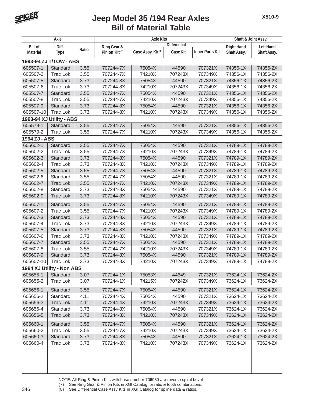

| Axle            |                           |       |                           | Shaft & Joint Assy.           |                     |                        |                    |                  |
|-----------------|---------------------------|-------|---------------------------|-------------------------------|---------------------|------------------------|--------------------|------------------|
| <b>Bill of</b>  | Diff.                     |       | Ring Gear &               |                               | <b>Differential</b> |                        | <b>Right Hand</b>  | <b>Left Hand</b> |
| <b>Material</b> | <b>Type</b>               | Ratio | Pinion Kit <sup>(7)</sup> | Case Assy. Kit <sup>(8)</sup> | <b>Case Kit</b>     | <b>Inner Parts Kit</b> | <b>Shaft Assy.</b> | Shaft Assy.      |
|                 | 1993-94 ZJ T/TOW - ABS    |       |                           |                               |                     |                        |                    |                  |
| 605507-1        | Standard                  | 3.55  | 707244-7X                 | 75054X                        | 44590               | 707321X                | 74356-1X           | 74356-2X         |
| 605507-2        | <b>Trac Lok</b>           | 3.55  | 707244-7X                 | 74210X                        | 707243X             | 707349X                | 74356-1X           | 74356-2X         |
| 605507-5        | Standard                  | 3.73  | 707244-8X                 | 75054X                        | 44590               | 707321X                | 74356-1X           | 74356-2X         |
| 605507-6        | <b>Trac Lok</b>           | 3.73  | 707244-8X                 | 74210X                        | 707243X             | 707349X                | 74356-1X           | 74356-2X         |
| 605507-7        | Standard                  | 3.55  | 707244-7X                 | 75054X                        | 44590               | 707321X                | 74356-1X           | 74356-2X         |
| 605507-8        | <b>Trac Lok</b>           | 3.55  | 707244-7X                 | 74210X                        | 707243X             | 707349X                | 74356-1X           | 74356-2X         |
| 605507-9        | Standard                  | 3.73  | 707244-8X                 | 75054X                        | 44590               | 707321X                | 74356-1X           | 74356-2X         |
| 605507-10       | <b>Trac Lok</b>           | 3.73  | 707244-8X                 | 74210X                        | 707243X             | 707349X                | 74356-1X           | 74356-2X         |
|                 | 1993-94 XJ Utility - ABS  |       |                           |                               |                     |                        |                    |                  |
| 605579-1        | Standard                  | 3.55  | 707244-7X                 | 75054X                        | 44590               | 707321X                | 74356-1X           | 74356-2X         |
| 605579-2        | <b>Trac Lok</b>           | 3.55  | 707244-7X                 | 74210X                        | 707243X             | 707349X                | 74356-1X           | 74356-2X         |
| 1994 ZJ - ABS   |                           |       |                           |                               |                     |                        |                    |                  |
| 605602-1        | Standard                  | 3.55  | 707244-7X                 | 75054X                        | 44590               | 707321X                | 74789-1X           | 74789-2X         |
| 605602-2        | <b>Trac Lok</b>           | 3.55  | 707244-7X                 | 74210X                        | 707243X             | 707349X                | 74789-1X           | 74789-2X         |
| 605602-3        | Standard                  | 3.73  | 707244-8X                 | 75054X                        | 44590               | 707321X                | 74789-1X           | 74789-2X         |
| 605602-4        | <b>Trac Lok</b>           | 3.73  | 707244-8X                 | 74210X                        | 707243X             | 707349X                | 74789-1X           | 74789-2X         |
| 605602-5        | Standard                  | 3.55  | 707244-7X                 | 75054X                        | 44590               | 707321X                | 74789-1X           | 74789-2X         |
| 605602-6        | Standard                  | 3.55  | 707244-7X                 | 75054X                        | 44590               | 707321X                | 74789-1X           | 74789-2X         |
| 605602-7        | <b>Trac Lok</b>           | 3.55  | 707244-7X                 | 74210X                        | 707243X             | 707349X                | 74789-1X           | 74789-2X         |
| 605602-8        | Standard                  | 3.73  | 707244-8X                 | 75054X                        | 44590               | 707321X                | 74789-1X           | 74789-2X         |
| 605602-9        | <b>Trac Lok</b>           | 3.73  | 707244-8X                 | 74210X                        | 707243X             | 707349X                | 74789-1X           | 74789-2X         |
| 605607-1        | Standard                  | 3.55  | 707244-7X                 | 75054X                        | 44590               | 707321X                | 74789-1X           | 74789-2X         |
| 605607-2        | <b>Trac Lok</b>           | 3.55  | 707244-7X                 | 74210X                        | 707243X             | 707349X                | 74789-1X           | 74789-2X         |
| 605607-3        | Standard                  | 3.73  | 707244-8X                 | 75054X                        | 44590               | 707321X                | 74789-1X           | 74789-2X         |
| 605607-4        | <b>Trac Lok</b>           | 3.73  | 707244-8X                 | 74210X                        | 707243X             | 707349X                | 74789-1X           | 74789-2X         |
| 605607-5        | Standard                  | 3.73  | 707244-8X                 | 75054X                        | 44590               | 707321X                | 74789-1X           | 74789-2X         |
| 605607-6        | <b>Trac Lok</b>           | 3.73  | 707244-8X                 | 74210X                        | 707243X             | 707349X                | 74789-1X           | 74789-2X         |
| 605607-7        | Standard                  | 3.55  | 707244-7X                 | 75054X                        | 44590               | 707321X                | 74789-1X           | 74789-2X         |
| 605607-8        | Trac Lok                  | 3.55  | 707244-7X                 | 74210X                        | 707243X             | 707349X                | 74789-1X           | 74789-2X         |
| 605607-9        | Standard                  | 3.73  | 707244-8X                 | 75054X                        | 44590               | 707321X                | 74789-1X           | 74789-2X         |
| 605607-10       | <b>Trac Lok</b>           | 3.73  | 707244-8X                 | 74210X                        | 707243X             | 707349X                | 74789-1X           | 74789-2X         |
|                 | 1994 XJ Utility - Non ABS |       |                           |                               |                     |                        |                    |                  |
| 605655-1        | Standard                  | 3.07  | 707244-1X                 | 75053X                        | 44649               | 707321X                | 73624-1X           | 73624-2X         |
| 605655-2        | Trac Lok                  | 3.07  | 707244-1X                 | 74215X                        | 707242X             | 707349X                | 73624-1X           | 73624-2X         |
| 605656-1        | Standard                  | 3.55  | 707244-7X                 | 75054X                        | 44590               | 707321X                | 73624-1X           | 73624-2X         |
| 605656-2        | Standard                  | 4.11  | 707244-4X                 | 75054X                        | 44590               | 707321X                | 73624-1X           | 73624-2X         |
| 605656-3        | <b>Trac Lok</b>           | 4.11  | 707244-4X                 | 74210X                        | 707243X             | 707349X                | 73624-1X           | 73624-2X         |
| 605656-4        | Standard                  | 3.73  | 707244-8X                 | 75054X                        | 44590               | 707321X                | 73624-1X           | 73624-2X         |
| 605656-5        | <b>Trac Lok</b>           | 3.73  | 707244-8X                 | 74210X                        | 707243X             | 707349X                | 73624-1X           | 73624-2X         |
| 605660-1        | Standard                  | 3.55  | 707244-7X                 | 75054X                        | 44590               | 707321X                | 73624-1X           | 73624-2X         |
| 605660-2        | Trac Lok                  | 3.55  | 707244-7X                 | 74210X                        | 707243X             | 707349X                | 73624-1X           | 73624-2X         |
| 605660-3        | Standard                  | 3.73  | 707244-8X                 | 75054X                        | 44590               | 707321X                | 73624-1X           | 73624-2X         |
| 605660-4        | Trac Lok                  | 3.73  | 707244-8X                 | 74210X                        | 707243X             | 707349X                | 73624-1X           | 73624-2X         |
|                 |                           |       |                           |                               |                     |                        |                    |                  |

NOTE: All Ring & Pinion Kits with base number 706930 are reverse spiral bevel

(7) See Ring Gear & Pinion Kits in XGI Catalog for ratio & tooth combinations.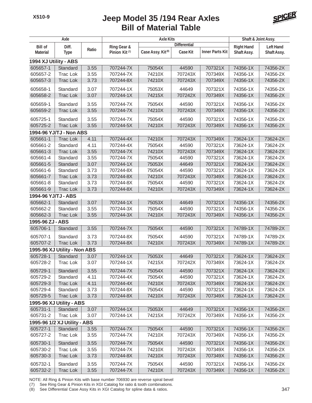

| Axle                  |                              |       |                           | <b>Axle Kits</b>              | Shaft & Joint Assy. |                        |                   |                  |
|-----------------------|------------------------------|-------|---------------------------|-------------------------------|---------------------|------------------------|-------------------|------------------|
| <b>Bill of</b>        | Diff.                        |       | Ring Gear &               |                               | <b>Differential</b> |                        | <b>Right Hand</b> | <b>Left Hand</b> |
| <b>Material</b>       | <b>Type</b>                  | Ratio | Pinion Kit <sup>(7)</sup> | Case Assy. Kit <sup>(8)</sup> | Case Kit            | <b>Inner Parts Kit</b> | Shaft Assy.       | Shaft Assy.      |
| 1994 XJ Utility - ABS |                              |       |                           |                               |                     |                        |                   |                  |
| 605657-1              | Standard                     | 3.55  | 707244-7X                 | 75054X                        | 44590               | 707321X                | 74356-1X          | 74356-2X         |
| 605657-2              | <b>Trac Lok</b>              | 3.55  | 707244-7X                 | 74210X                        | 707243X             | 707349X                | 74356-1X          | 74356-2X         |
| 605657-3              | <b>Trac Lok</b>              | 3.73  | 707244-8X                 | 74210X                        | 707243X             | 707349X                | 74356-1X          | 74356-2X         |
| 605658-1              | Standard                     | 3.07  | 707244-1X                 | 75053X                        | 44649               | 707321X                | 74356-1X          | 74356-2X         |
| 605658-2              | <b>Trac Lok</b>              | 3.07  | 707244-1X                 | 74215X                        | 707242X             | 707349X                | 74356-1X          | 74356-2X         |
| 605659-1              | Standard                     | 3.55  | 707244-7X                 | 75054X                        | 44590               | 707321X                | 74356-1X          | 74356-2X         |
| 605659-2              | <b>Trac Lok</b>              | 3.55  | 707244-7X                 | 74210X                        | 707243X             | 707349X                | 74356-1X          | 74356-2X         |
| 605725-1              | Standard                     | 3.55  | 707244-7X                 | 75054X                        | 44590               | 707321X                | 74356-1X          | 74356-2X         |
| 605725-2              | <b>Trac Lok</b>              | 3.55  | 707244-5X                 | 74210X                        | 707243X             | 707349X                | 74356-1X          | 74356-2X         |
|                       | 1994-96 YJ/TJ - Non ABS      |       |                           |                               |                     |                        |                   |                  |
| 605661-1              | <b>Trac Lok</b>              | 4.11  | 707244-4X                 | 74210X                        | 707243X             | 707349X                | 73624-1X          | 73624-2X         |
| 605661-2              | Standard                     | 4.11  | 707244-4X                 | 75054X                        | 44590               | 707321X                | 73624-1X          | 73624-2X         |
| 605661-3              | <b>Trac Lok</b>              | 3.55  | 707244-7X                 | 74210X                        | 707243X             | 707349X                | 73624-1X          | 73624-2X         |
| 605661-4              | Standard                     | 3.55  | 707244-7X                 | 75054X                        | 44590               | 707321X                | 73624-1X          | 73624-2X         |
| 605661-5              | Standard                     | 3.07  | 707244-1X                 | 75053X                        | 44649               | 707321X                | 73624-1X          | 73624-2X         |
| 605661-6              | Standard                     | 3.73  | 707244-8X                 | 75054X                        | 44590               | 707321X                | 73624-1X          | 73624-2X         |
| 605661-7              | <b>Trac Lok</b>              | 3.73  | 707244-8X                 | 74210X                        | 707243X             | 707349X                | 73624-1X          | 73624-2X         |
| 605661-8              | Standard                     | 3.73  | 707244-8X                 | 75054X                        | 44590               | 707321X                | 73624-1X          | 73624-2X         |
| 605661-9              | <b>Trac Lok</b>              | 3.73  | 707244-8X                 | 74210X                        | 707243X             | 707349X                | 73624-1X          | 73624-2X         |
| 1994-96 YJ/TJ - ABS   |                              |       |                           |                               |                     |                        |                   |                  |
| 605662-1              | Standard                     | 3.07  | 707244-1X                 | 75053X                        | 44649               | 707321X                | 74356-1X          | 74356-2X         |
| 605662-2              | Standard                     | 3.55  | 707244-3X                 | 75054X                        | 44590               | 707321X                | 74356-1X          | 74356-2X         |
| 605662-3              | <b>Trac Lok</b>              | 3.55  | 707244-3X                 | 74210X                        | 707243X             | 707349X                | 74356-1X          | 74356-2X         |
| 1995-96 ZJ - ABS      |                              |       |                           |                               |                     |                        |                   |                  |
| 605706-1              | Standard                     | 3.55  | 707244-7X                 | 75054X                        | 44590               | 707321X                | 74789-1X          | 74789-2X         |
| 605707-1              | Standard                     | 3.73  | 707244-8X                 | 75054X                        | 44590               | 707321X                | 74789-1X          | 74789-2X         |
| 605707-2              | <b>Trac Lok</b>              | 3.73  | 707244-8X                 | 74210X                        | 707243X             | 707349X                | 74789-1X          | 74789-2X         |
|                       | 1995-96 XJ Utility - Non ABS |       |                           |                               |                     |                        |                   |                  |
| 605728-1              | Standard                     | 3.07  | 707244-1X                 | 75053X                        | 44649               | 707321X                | 73624-1X          | 73624-2X         |
| 605728-2              | <b>Trac Lok</b>              | 3.07  | 707244-1X                 | 74215X                        | 707242X             | 707349X                | 73624-1X          | 73624-2X         |
| 605729-1              | Standard                     | 3.55  | 707244-7X                 | 75054X                        | 44590               | 707321X                | 73624-1X          | 73624-2X         |
| 605729-2              | Standard                     | 4.11  | 707244-4X                 | 75054X                        | 44590               | 707321X                | 73624-1X          | 73624-2X         |
| 605729-3              | <b>Trac Lok</b>              | 4.11  | 707244-4X                 | 74210X                        | 707243X             | 707349X                | 73624-1X          | 73624-2X         |
| 605729-4              | Standard                     | 3.73  | 707244-8X                 | 75054X                        | 44590               | 707321X                | 73624-1X          | 73624-2X         |
| 605729-5              | <b>Trac Lok</b>              | 3.73  | 707244-8X                 | 74210X                        | 707243X             | 707349X                | 73624-1X          | 73624-2X         |
|                       | 1995-96 XJ Utility - ABS     |       |                           |                               |                     |                        |                   |                  |
| 605731-1              | Standard                     | 3.07  | 707244-1X                 | 75053X                        | 44649               | 707321X                | 74356-1X          | 74356-2X         |
| 605731-2              | <b>Trac Lok</b>              | 3.07  | 707244-1X                 | 74215X                        | 707242X             | 707349X                | 74356-1X          | 74356-2X         |
|                       | 1995-96 1/2 XJ Utility - ABS |       |                           |                               |                     |                        |                   |                  |
| 605727-1              | Standard                     | 3.55  | 707244-7X                 | 75054X                        | 44590               | 707321X                | 74356-1X          | 74356-2X         |
| 605727-2              | Trac Lok                     | 3.55  | 707244-7X                 | 74210X                        | 707243X             | 707349X                | 74356-1X          | 74356-2X         |
| 605730-1              | Standard                     | 3.55  | 707244-7X                 | 75054X                        | 44590               | 707321X                | 74356-1X          | 74356-2X         |
| 605730-2              | Trac Lok                     | 3.55  | 707244-7X                 | 74210X                        | 707243X             | 707349X                | 74356-1X          | 74356-2X         |
| 605730-3              | Trac Lok                     | 3.73  | 707244-8X                 | 74210X                        | 707243X             | 707349X                | 74356-1X          | 74356-2X         |
| 605732-1              | Standard                     | 3.55  | 707244-7X                 | 75054X                        | 44590               | 707321X                | 74356-1X          | 74356-2X         |
| 605732-2              | <b>Trac Lok</b>              | 3.55  | 707244-7X                 | 74210X                        | 707243X             | 707349X                | 74356-1X          | 74356-2X         |

NOTE: All Ring & Pinion Kits with base number 706930 are reverse spiral bevel

(7) See Ring Gear & Pinion Kits in XGI Catalog for ratio & tooth combinations.

(8) See Differential Case Assy Kits in XGI Catalog for spline data & ratios. 347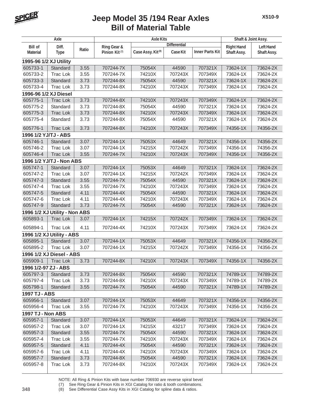

| Axle                     |                               |       |                           | Shaft & Joint Assy.           |                     |                        |                   |                  |
|--------------------------|-------------------------------|-------|---------------------------|-------------------------------|---------------------|------------------------|-------------------|------------------|
| <b>Bill of</b>           | Diff.                         |       | Ring Gear &               |                               | <b>Differential</b> |                        | <b>Right Hand</b> | <b>Left Hand</b> |
| <b>Material</b>          | <b>Type</b>                   | Ratio | Pinion Kit <sup>(7)</sup> | Case Assy. Kit <sup>(8)</sup> | <b>Case Kit</b>     | <b>Inner Parts Kit</b> | Shaft Assy.       | Shaft Assy.      |
| 1995-96 1/2 XJ Utility   |                               |       |                           |                               |                     |                        |                   |                  |
| 605733-1                 | Standard                      | 3.55  | 707244-7X                 | 75054X                        | 44590               | 707321X                | 73624-1X          | 73624-2X         |
| 605733-2                 | <b>Trac Lok</b>               | 3.55  | 707244-7X                 | 74210X                        | 707243X             | 707349X                | 73624-1X          | 73624-2X         |
| 605733-3                 | Standard                      | 3.73  | 707244-8X                 | 75054X                        | 44590               | 707321X                | 73624-1X          | 73624-2X         |
| 605733-4                 | <b>Trac Lok</b>               | 3.73  | 707244-8X                 | 74210X                        | 707243X             | 707349X                | 73624-1X          | 73624-2X         |
| 1996-96 1/2 XJ Diesel    |                               |       |                           |                               |                     |                        |                   |                  |
| 605775-1                 | <b>Trac Lok</b>               | 3.73  | 707244-8X                 | 74210X                        | 707243X             | 707349X                | 73624-1X          | 73624-2X         |
| 605775-2                 | Standard                      | 3.73  | 707244-8X                 | 75054X                        | 44590               | 707321X                | 73624-1X          | 73624-2X         |
| 605775-3                 | <b>Trac Lok</b>               | 3.73  | 707244-8X                 | 74210X                        | 707243X             | 707349X                | 73624-1X          | 73624-2X         |
| 605775-4                 | Standard                      | 3.73  | 707244-8X                 | 75054X                        | 44590               | 707321X                | 73624-1X          | 73624-2X         |
| 605776-1                 | <b>Trac Lok</b>               | 3.73  | 707244-8X                 | 74210X                        | 707243X             | 707349X                | 74356-1X          | 74356-2X         |
| 1996 1/2 YJ/TJ - ABS     |                               |       |                           |                               |                     |                        |                   |                  |
| 605746-1                 | Standard                      | 3.07  | 707244-1X                 | 75053X                        | 44649               | 707321X                | 74356-1X          | 74356-2X         |
| 605746-2                 | <b>Trac Lok</b>               | 3.07  | 707244-1X                 | 74215X                        | 707242X             | 707349X                | 74356-1X          | 74356-2X         |
| 605746-4                 | <b>Trac Lok</b>               | 3.55  | 707244-7X                 | 74210X                        | 707243X             | 707349X                | 74356-1X          | 74356-2X         |
|                          | 1996 1/2 YJ/TJ - Non ABS      |       |                           |                               |                     |                        |                   |                  |
| 605747-1                 | Standard                      | 3.07  | 707244-1X                 | 75053X                        | 44649               | 707321X                | 73624-1X          | 73624-2X         |
| 605747-2                 | <b>Trac Lok</b>               | 3.07  | 707244-1X                 | 74215X                        | 707242X             | 707349X                | 73624-1X          | 73624-2X         |
| 605747-3                 | Standard                      | 3.55  | 707244-7X                 | 75054X                        | 44590               | 707321X                | 73624-1X          | 73624-2X         |
| 605747-4                 | <b>Trac Lok</b>               | 3.55  | 707244-7X                 | 74210X                        | 707243X             | 707349X                | 73624-1X          | 73624-2X         |
| 605747-5                 | Standard                      | 4.11  | 707244-4X                 | 75054X                        | 44590               | 707321X                | 73624-1X          | 73624-2X         |
| 605747-6                 | <b>Trac Lok</b>               | 4.11  | 707244-4X                 | 74210X                        | 707243X             | 707349X                | 73624-1X          | 73624-2X         |
| 605747-9                 | Standard                      | 3.73  | 707244-7X                 | 75054X                        | 44590               | 707321X                | 73624-1X          | 73624-2X         |
|                          | 1996 1/2 XJ Utility - Non ABS |       |                           |                               |                     |                        |                   |                  |
| 605893-1                 | <b>Trac Lok</b>               | 3.07  | 707244-1X                 | 74215X                        | 707242X             | 707349X                | 73624-1X          | 73624-2X         |
| 605894-1                 | <b>Trac Lok</b>               | 4.11  | 707244-4X                 | 74210X                        | 707243X             | 707349X                | 73624-1X          | 73624-2X         |
|                          | 1996 1/2 XJ Utility - ABS     |       |                           |                               |                     |                        |                   |                  |
| 605895-1                 | Standard                      | 3.07  | 707244-1X                 | 75053X                        | 44649               | 707321X                | 74356-1X          | 74356-2X         |
| 605895-2                 | <b>Trac Lok</b>               | 3.07  | 707244-1X                 | 74215X                        | 707242X             | 707349X                | 74356-1X          | 74356-2X         |
|                          | 1996 1/2 XJ Diesel - ABS      |       |                           |                               |                     |                        |                   |                  |
| 605909-1                 | Trac Lok                      | 3.73  | 707244-8X                 | 74210X                        | 707243X             | 707349X                | 74356-1X          | 74356-2X         |
| 1996 1/2-97 ZJ - ABS     |                               |       |                           |                               |                     |                        |                   |                  |
| 605797-3                 | Standard                      | 3.73  | 707244-8X                 | 75054X                        | 44590               | 707321X                | 74789-1X          | 74789-2X         |
| 605797-4                 | Trac Lok                      | 3.73  | 707244-8X                 | 74210X                        | 707243X             | 707349X                | 74789-1X          | 74789-2X         |
| 605798-1                 | Standard                      | 3.55  | 707244-7X                 | 75054X                        | 44590               | 707321X                | 74789-1X          | 74789-2X         |
| <b>1997 TJ - ABS</b>     |                               |       |                           |                               |                     |                        |                   |                  |
| 605956-1                 | Standard                      | 3.07  | 707244-1X                 | 75053X                        | 44649               | 707321X                | 74356-1X          | 74356-2X         |
| 605956-4                 | Trac Lok                      | 3.55  | 707244-7X                 | 74210X                        | 707243X             | 707349X                | 74356-1X          | 74356-2X         |
| <b>1997 TJ - Non ABS</b> |                               |       |                           |                               |                     |                        |                   |                  |
| 605957-1                 | Standard                      | 3.07  | 707244-1X                 | 75053X                        | 44649               | 707321X                | 73624-1X          | 73624-2X         |
| 605957-2                 | Trac Lok                      | 3.07  | 707244-1X                 | 74215X                        | 43217               | 707349X                | 73624-1X          | 73624-2X         |
| 605957-3                 | Standard                      | 3.55  | 707244-7X                 | 75054X                        | 44590               | 707321X                | 73624-1X          | 73624-2X         |
| 605957-4                 | Trac Lok                      | 3.55  | 707244-7X                 | 74210X                        | 707243X             | 707349X                | 73624-1X          | 73624-2X         |
| 605957-5                 | Standard                      | 4.11  | 707244-4X                 | 75054X                        | 44590               | 707321X                | 73624-1X          | 73624-2X         |
| 605957-6                 | Trac Lok                      | 4.11  | 707244-4X                 | 74210X                        | 707243X             | 707349X                | 73624-1X          | 73624-2X         |
| 605957-7                 | Standard                      | 3.73  | 707244-8X                 | 75054X                        | 44590               | 707321X                | 73624-1X          | 73624-2X         |
| 605957-8                 | Trac Lok                      | 3.73  | 707244-8X                 | 74210X                        | 707243X             | 707349X                | 73624-1X          | 73624-2X         |

NOTE: All Ring & Pinion Kits with base number 706930 are reverse spiral bevel

(7) See Ring Gear & Pinion Kits in XGI Catalog for ratio & tooth combinations.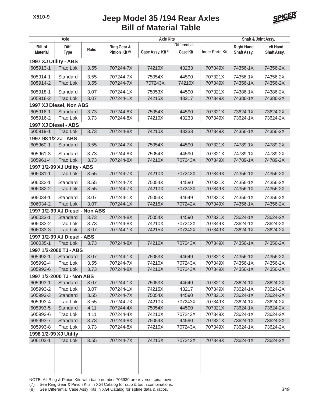

| Axle                   |                                 |       |                           | <b>Axle Kits</b>              |                     |                        | Shaft & Joint Assy. |                  |
|------------------------|---------------------------------|-------|---------------------------|-------------------------------|---------------------|------------------------|---------------------|------------------|
| <b>Bill of</b>         | Diff.                           |       | Ring Gear &               |                               | <b>Differential</b> |                        | <b>Right Hand</b>   | <b>Left Hand</b> |
| <b>Material</b>        | <b>Type</b>                     | Ratio | Pinion Kit <sup>(7)</sup> | Case Assy. Kit <sup>(8)</sup> | <b>Case Kit</b>     | <b>Inner Parts Kit</b> | Shaft Assy.         | Shaft Assy.      |
| 1997 XJ Utility - ABS  |                                 |       |                           |                               |                     |                        |                     |                  |
| 605913-1               | <b>Trac Lok</b>                 | 3.55  | 707244-7X                 | 74210X                        | 43233               | 707349X                | 74356-1X            | 74356-2X         |
| 605914-1               | Standard                        | 3.55  | 707244-7X                 | 75054X                        | 44590               | 707321X                | 74356-1X            | 74356-2X         |
| 605914-2               | <b>Trac Lok</b>                 | 3.55  | 707244-7X                 | 707243X                       | 74210X              | 707349X                | 74356-1X            | 74356-2X         |
|                        |                                 |       |                           |                               |                     |                        |                     |                  |
| 605918-1               | Standard                        | 3.07  | 707244-1X                 | 75053X                        | 44590               | 707321X                | 74386-1X            | 74386-2X         |
| 605918-2               | <b>Trac Lok</b>                 | 3.07  | 707244-1X                 | 74215X                        | 43217               | 707349X                | 74386-1X            | 74386-2X         |
|                        | 1997 XJ Diesel, Non ABS         |       |                           |                               |                     |                        |                     |                  |
| 605916-1               | Standard                        | 3.73  | 707244-8X                 | 75054X                        | 44590               | 707321X                | 73624-1X            | 73624-2X         |
| 605916-2               | Trac Lok                        | 3.73  | 707244-8X                 | 74210X                        | 43233               | 707349X                | 73624-1X            | 73624-2X         |
| 1997 XJ Diesel - ABS   |                                 |       |                           |                               |                     |                        |                     |                  |
| 605919-1               | <b>Trac Lok</b>                 | 3.73  | 707244-8X                 | 74210X                        | 43233               | 707349X                | 74356-1X            | 74356-2X         |
| 1997-98 1/2 ZJ - ABS   |                                 |       |                           |                               |                     |                        | 74789-1X            |                  |
| 605960-1               | Standard                        | 3.55  | 707244-7X                 | 75054X                        | 44590               | 707321X                |                     | 74789-2X         |
| 605961-3               | Standard                        | 3.73  | 707244-8X                 | 75054X                        | 44590               | 707321X                | 74789-1X            | 74789-2X         |
| 605961-4               | <b>Trac Lok</b>                 | 3.73  | 707244-8X                 | 74210X                        | 707243X             | 707349X                | 74789-1X            | 74789-2X         |
|                        | 1997 1/2-99 XJ Utility - ABS    |       |                           |                               |                     |                        |                     |                  |
| 606031-1               | <b>Trac Lok</b>                 | 3.55  | 707244-7X                 | 74210X                        | 707243X             | 707349X                | 74356-1X            | 74356-2X         |
| 606032-1               | Standard                        | 3.55  | 707244-7X                 | 75054X                        | 44590               | 707321X                | 74356-1X            | 74356-2X         |
| 606032-2               | <b>Trac Lok</b>                 | 3.55  | 707244-7X                 | 74210X                        | 707243X             | 707349X                | 74356-1X            | 74356-2X         |
| 606034-1               | Standard                        | 3.07  | 707244-1X                 | 75053X                        | 44649               | 707321X                | 74356-1X            | 74356-2X         |
| 606034-2               | <b>Trac Lok</b>                 | 3.07  | 707244-1X                 | 74215X                        | 707242X             | 707349X                | 74356-1X            | 74356-2X         |
|                        | 1997 1/2-99 XJ Diesel - Non ABS |       |                           |                               |                     |                        |                     |                  |
| 606033-1               | Standard                        | 3.73  | 707244-8X                 | 75054X                        | 44590               | 707321X                | 73624-1X            | 73624-2X         |
| 606033-2               | <b>Trac Lok</b>                 | 3.73  | 707244-8X                 | 74210X                        | 707243X             | 707349X                | 73624-1X            | 73624-2X         |
| 606033-3               | <b>Trac Lok</b>                 | 3.07  | 707244-1X                 | 74215X                        | 707242X             | 707349X                | 73624-1X            | 73624-2X         |
|                        | 1997 1/2-99 XJ Diesel - ABS     |       |                           |                               |                     |                        |                     |                  |
| 606035-1               | <b>Trac Lok</b>                 | 3.73  | 707244-8X                 | 74210X                        | 707243X             | 707349X                | 74356-1X            | 74356-2X         |
|                        | 1997 1/2-2000 TJ - ABS          |       |                           |                               |                     |                        |                     |                  |
| 605992-1               | Standard                        | 3.07  | 707244-1X                 | 75053X                        | 44649               | 707321X                | 74356-1X            | 74356-2X         |
| 605992-4               | I rac Lok                       | 3.55  | 707244-7X                 | 74210X                        | 707243X             | 707349X                | 74356-1X            | 74356-2X         |
| 605992-6               | Trac Lok                        | 3.73  | 707244-8X                 | 74210X                        | 707243X             | 707349X                | 74356-1X            | 74356-2X         |
|                        | 1997 1/2-2000 TJ - Non ABS      |       |                           |                               |                     |                        |                     |                  |
| 605993-1               | Standard                        | 3.07  | 707244-1X                 | 75053X                        | 44649               | 707321X                | 73624-1X            | 73624-2X         |
| 605993-2               | Trac Lok                        | 3.07  | 707244-1X                 | 74215X                        | 43217               | 707349X                | 73624-1X            | 73624-2X         |
| 605993-3               | Standard                        | 3.55  | 707244-7X                 | 75054X                        | 44590               | 707321X                | 73624-1X            | 73624-2X         |
| 605993-4               | Trac Lok                        | 3.55  | 707244-7X                 | 74210X                        | 707243X             | 707349X                | 73624-1X            | 73624-2X         |
| 605993-5               | Standard                        | 4.11  | 707244-4X                 | 75054X                        | 44590               | 707321X                | 73624-1X            | 73624-2X         |
| 605993-6               | Trac Lok                        | 4.11  | 707244-4X                 | 74210X                        | 707243X             | 707349X                | 73624-1X            | 73624-2X         |
| 605993-7               | Standard                        | 3.73  | 707244-8X                 | 75054X                        | 44590               | 707321X                | 73624-1X            | 73624-2X         |
| 605993-8               | Trac Lok                        | 3.73  | 707244-8X                 | 74210X                        | 707243X             | 707349X                | 73624-1X            | 73624-2X         |
| 1998 1/2-99 XJ Utility |                                 |       |                           |                               |                     |                        |                     |                  |
| 606103-1               | <b>Trac Lok</b>                 | 3.55  | 707244-7X                 | 74215X                        | 707243X             | 707349X                | 73624-1X            | 73624-2X         |
|                        |                                 |       |                           |                               |                     |                        |                     |                  |
|                        |                                 |       |                           |                               |                     |                        |                     |                  |
|                        |                                 |       |                           |                               |                     |                        |                     |                  |
|                        |                                 |       |                           |                               |                     |                        |                     |                  |

NOTE: All Ring & Pinion Kits with base number 706930 are reverse spiral bevel

(7) See Ring Gear & Pinion Kits in XGI Catalog for ratio & tooth combinations.

(8) See Differential Case Assy Kits in XGI Catalog for spline data & ratios. 349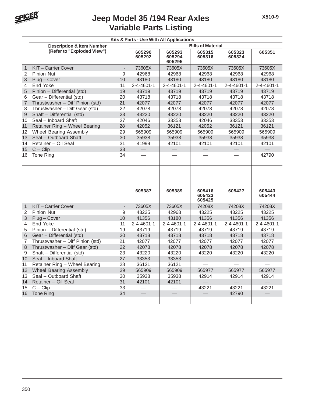

| Kits & Parts - Use With All Applications |                                      |                          |                    |                            |                          |                          |                          |
|------------------------------------------|--------------------------------------|--------------------------|--------------------|----------------------------|--------------------------|--------------------------|--------------------------|
|                                          | <b>Description &amp; Item Number</b> |                          |                    |                            | <b>Bills of Material</b> |                          |                          |
|                                          | (Refer to "Exploded View")           |                          | 605290<br>605292   | 605293<br>605294<br>605295 | 605315<br>605316         | 605323<br>605324         | 605351                   |
| $\mathbf{1}$                             | KIT - Carrier Cover                  | $\overline{a}$           | 73605X             | 73605X                     | 73605X                   | 73605X                   | 73605X                   |
| $\overline{2}$                           | <b>Pinion Nut</b>                    | 9                        | 42968              | 42968                      | 42968                    | 42968                    | 42968                    |
| 3                                        | Plug - Cover                         | 10                       | 43180              | 43180                      | 43180                    | 43180                    | 43180                    |
| 4                                        | End Yoke                             | 11                       | $2 - 4 - 4601 - 1$ | $2 - 4 - 4601 - 1$         | 2-4-4601-1               | 2-4-4601-1               | $2 - 4 - 4601 - 1$       |
| 5                                        | Pinion - Differential (std)          | 19                       | 43719              | 43719                      | 43719                    | 43719                    | 43719                    |
| 6                                        | Gear - Differential (std)            | 20                       | 43718              | 43718                      | 43718                    | 43718                    | 43718                    |
| $\overline{7}$                           | Thrustwasher - Diff Pinion (std)     | 21                       | 42077              | 42077                      | 42077                    | 42077                    | 42077                    |
| 8                                        | Thrustwasher - Diff Gear (std)       | 22                       | 42078              | 42078                      | 42078                    | 42078                    | 42078                    |
| $\overline{9}$                           | Shaft - Differential (std)           | 23                       | 43220              | 43220                      | 43220                    | 43220                    | 43220                    |
| 10                                       | Seal - Inboard Shaft                 | 27                       | 42046              | 33353                      | 42046                    | 33353                    | 33353                    |
| 11                                       | Retainer Ring - Wheel Bearing        | 28                       | 42052              | 36121                      | 42052                    | 36121                    | 36121                    |
| $12 \overline{ }$                        | Wheel Bearing Assembly               | 29                       | 565909             | 565909                     | 565909                   | 565909                   | 565909                   |
| 13                                       | Seal - Outboard Shaft                | 30                       | 35938              | 35938                      | 35938                    | 35938                    | 35938                    |
| 14                                       | Retainer - Oil Seal                  | 31                       | 41999              | 42101                      | 42101                    | 42101                    | 42101                    |
| 15                                       | $C - Clip$                           | 33                       |                    |                            |                          |                          |                          |
| 16                                       | Tone Ring                            | 34                       |                    |                            |                          |                          | 42790                    |
|                                          |                                      |                          | 605387             | 605389                     | 605416<br>605423         | 605427                   | 605443<br>605444         |
|                                          |                                      |                          |                    |                            | 605425                   |                          |                          |
| $\mathbf{1}$                             | KIT-Carrier Cover                    | $\overline{\phantom{a}}$ | 73605X             | 73605X                     | 74208X                   | 74208X                   | 74208X                   |
| 2                                        | <b>Pinion Nut</b>                    | 9                        | 43225              | 42968                      | 43225                    | 43225                    | 43225                    |
| 3                                        | Plug - Cover                         | 10                       | 41356              | 43180                      | 41356                    | 41356                    | 41356                    |
| 4                                        | End Yoke                             | 11                       | $2 - 4 - 4601 - 1$ | $2 - 4 - 4601 - 1$         | 2-4-4601-1               | 2-4-4601-1               | $2 - 4 - 4601 - 1$       |
| 5                                        | Pinion - Differential (std)          | 19                       | 43719              | 43719                      | 43719                    | 43719                    | 43719                    |
| 6                                        | Gear - Differential (std)            | 20                       | 43718              | 43718                      | 43718                    | 43718                    | 43718                    |
| $\overline{7}$                           | Thrustwasher - Diff Pinion (std)     | 21                       | 42077              | 42077                      | 42077                    | 42077                    | 42077                    |
| 8                                        | Thrustwasher - Diff Gear (std)       | 22                       | 42078              | 42078                      | 42078                    | 42078                    | 42078                    |
| 9                                        | Shaft - Differential (std)           | 23                       | 43220              | 43220                      | 43220                    | 43220                    | 43220                    |
| 10                                       | Seal - Inboard Shaft                 | 27                       | 33353              | 33353                      | $\overline{\phantom{0}}$ | $\overline{\phantom{0}}$ | $\overline{\phantom{0}}$ |
| 11                                       | Retainer Ring - Wheel Bearing        | 28                       | 36121              | 36121                      |                          |                          |                          |
| 12                                       | Wheel Bearing Assembly               | 29                       | 565909             | 565909                     | 565977                   | 565977                   | 565977                   |
| 13                                       | Seal - Outboard Shaft                | 30                       | 35938              | 35938                      | 42914                    | 42914                    | 42914                    |
| 14                                       | Retainer - Oil Seal                  | 31                       | 42101              | 42101                      |                          |                          |                          |
| 15                                       | $C - Clip$                           | 33                       |                    |                            | 43221                    | 43221                    | 43221                    |
| 16                                       | Tone Ring                            | 34                       |                    |                            |                          | 42790                    |                          |
|                                          |                                      |                          |                    |                            |                          |                          |                          |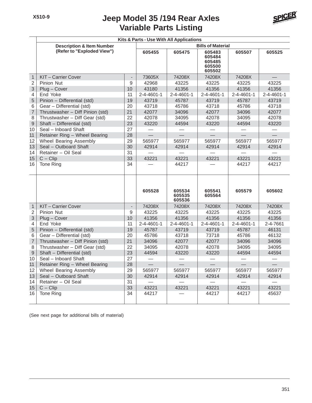

|                          |                                      |                   | Kits & Parts - Use With All Applications |                            |                                                |                    |                          |
|--------------------------|--------------------------------------|-------------------|------------------------------------------|----------------------------|------------------------------------------------|--------------------|--------------------------|
|                          | <b>Description &amp; Item Number</b> |                   |                                          |                            | <b>Bills of Material</b>                       |                    |                          |
|                          | (Refer to "Exploded View")           |                   | 605455                                   | 605475                     | 605483<br>605484<br>605485<br>605500<br>605502 | 605507             | 605525                   |
| $\mathbf{1}$             | <b>KIT-Carrier Cover</b>             | $\qquad \qquad -$ | 73605X                                   | 74208X                     | 74208X                                         | 74208X             |                          |
| $\overline{2}$           | Pinion Nut                           | 9                 | 42968                                    | 43225                      | 43225                                          | 43225              | 43225                    |
| 3                        | Plug - Cover                         | 10                | 43180                                    | 41356                      | 41356                                          | 41356              | 41356                    |
| $\overline{\mathbf{4}}$  | End Yoke                             | 11                | 2-4-4601-1                               | $2 - 4 - 4601 - 1$         | 2-4-4601-1                                     | $2 - 4 - 4601 - 1$ | $2 - 4 - 4601 - 1$       |
| 5                        | Pinion - Differential (std)          | 19                | 43719                                    | 45787                      | 43719                                          | 45787              | 43719                    |
| $6\phantom{1}6$          | Gear - Differential (std)            | 20                | 43718                                    | 45786                      | 43718                                          | 45786              | 43718                    |
| $\overline{\mathcal{I}}$ | Thrustwasher - Diff Pinion (std)     | 21                | 42077                                    | 34096                      | 42077                                          | 34096              | 42077                    |
| 8                        | Thrustwasher - Diff Gear (std)       | 22                | 42078                                    | 34095                      | 42078                                          | 34095              | 42078                    |
| $\overline{9}$           | Shaft - Differential (std)           | 23                | 43220                                    | 44594                      | 43220                                          | 44594              | 43220                    |
| 10                       | Seal - Inboard Shaft                 | 27                |                                          |                            |                                                |                    | $\overline{\phantom{0}}$ |
| 11                       | Retainer Ring - Wheel Bearing        | 28                |                                          |                            |                                                |                    |                          |
| 12                       | Wheel Bearing Assembly               | 29                | 565977                                   | 565977                     | 565977                                         | 565977             | 565977                   |
| 13                       | Seal - Outboard Shaft                | 30                | 42914                                    | 42914                      | 42914                                          | 42914              | 42914                    |
| 14                       | Retainer - Oil Seal                  | 31                |                                          |                            |                                                |                    |                          |
| 15                       | $C - Clip$                           | 33                | 43221                                    | 43221                      | 43221                                          | 43221              | 43221                    |
| 16                       | Tone Ring                            | 34                |                                          | 44217                      |                                                | 44217              | 44217                    |
|                          |                                      |                   | 605528                                   | 605534<br>605535<br>605536 | 605541<br>605564                               | 605579             | 605602                   |
| $\mathbf{1}$             | KIT-Carrier Cover                    | $\frac{1}{2}$     | 74208X                                   | 74208X                     | 74208X                                         | 74208X             | 74208X                   |
| $\overline{2}$           | Pinion Nut                           | 9                 | 43225                                    | 43225                      | 43225                                          | 43225              | 43225                    |
| 3                        | Plug - Cover                         | 10                | 41356                                    | 41356                      | 41356                                          | 41356              | 41356                    |
| 4                        | End Yoke                             | 11                | 2-4-4601-1                               | $2 - 4 - 4601 - 1$         | 2-4-4601-1                                     | 2-4-4601-1         | 2-4-7661                 |
| 5                        | Pinion - Differential (std)          | 19                | 45787                                    | 43719                      | 43719                                          | 45787              | 46131                    |
| 6                        | Gear - Differential (std)            | 20                | 45786                                    | 43718                      | 73718                                          | 45786              | 46132                    |
| $\overline{7}$           | Thrustwasher - Diff Pinion (std)     | 21                | 34096                                    | 42077                      | 42077                                          | 34096              | 34096                    |
| 8                        | Thrustwasher - Diff Gear (std)       | 22                | 34095                                    | 42078                      | 42078                                          | 34095              | 34095                    |
| $\overline{9}$           | Shaft - Differential (std)           | 23                | 44594                                    | 43220                      | 43220                                          | 44594              | 44594                    |
| 10                       | Seal - Inboard Shaft                 | 27                |                                          |                            |                                                |                    |                          |
| 11                       | Retainer Ring - Wheel Bearing        | 28                | $\equiv$                                 | $\overline{\phantom{0}}$   | $\equiv$                                       | $\equiv$           | $\equiv$                 |
| 12                       | Wheel Bearing Assembly               | 29                | 565977                                   | 565977                     | 565977                                         | 565977             | 565977                   |
| 13                       | Seal - Outboard Shaft                | 30                | 42914                                    | 42914                      | 42914                                          | 42914              | 42914                    |
| 14                       | Retainer - Oil Seal                  | 31                |                                          |                            |                                                |                    |                          |
| 15                       | $C - Clip$                           | 33                | 43221                                    | 43221                      | 43221                                          | 43221              | 43221                    |
| 16                       | Tone Ring                            | 34                | 44217                                    |                            | 44217                                          | 44217              | 45637                    |

(See next page for additional bills of material)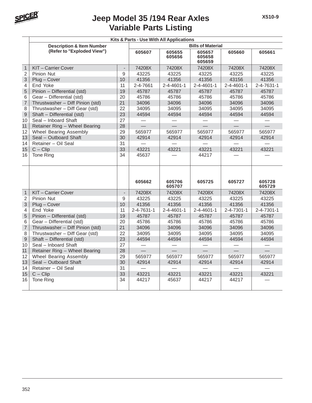

|                |                                      |                | Kits & Parts - Use With All Applications |                    |                            |                    |                    |  |  |  |
|----------------|--------------------------------------|----------------|------------------------------------------|--------------------|----------------------------|--------------------|--------------------|--|--|--|
|                | <b>Description &amp; Item Number</b> |                |                                          |                    | <b>Bills of Material</b>   |                    |                    |  |  |  |
|                | (Refer to "Exploded View")           |                | 605607                                   | 605655<br>605656   | 605657<br>605658<br>605659 | 605660             | 605661             |  |  |  |
| $\mathbf{1}$   | KIT-Carrier Cover                    |                | 74208X                                   | 74208X             | 74208X                     | 74208X             | 74208X             |  |  |  |
| 2              | <b>Pinion Nut</b>                    | 9              | 43225                                    | 43225              | 43225                      | 43225              | 43225              |  |  |  |
| 3              | Plug - Cover                         | 10             | 41356                                    | 41356              | 41356                      | 43156              | 41356              |  |  |  |
| 4              | End Yoke                             | 11             | 2-4-7661                                 | 2-4-4601-1         | 2-4-4601-1                 | 2-4-4601-1         | 2-4-7631-1         |  |  |  |
| 5              | Pinion - Differential (std)          | 19             | 45787                                    | 45787              | 45787                      | 45787              | 45787              |  |  |  |
| 6              | Gear - Differential (std)            | 20             | 45786                                    | 45786              | 45786                      | 45786              | 45786              |  |  |  |
| $\overline{7}$ | Thrustwasher - Diff Pinion (std)     | 21             | 34096                                    | 34096              | 34096                      | 34096              | 34096              |  |  |  |
| 8              | Thrustwasher - Diff Gear (std)       | 22             | 34095                                    | 34095              | 34095                      | 34095              | 34095              |  |  |  |
| $\overline{9}$ | Shaft - Differential (std)           | 23             | 44594                                    | 44594              | 44594                      | 44594              | 44594              |  |  |  |
| 10             | Seal - Inboard Shaft                 | 27             |                                          |                    |                            |                    |                    |  |  |  |
| 11             | Retainer Ring - Wheel Bearing        | 28             |                                          |                    |                            |                    |                    |  |  |  |
| 12             | Wheel Bearing Assembly               | 29             | 565977                                   | 565977             | 565977                     | 565977             | 565977             |  |  |  |
| 13             | Seal - Outboard Shaft                | 30             | 42914                                    | 42914              | 42914                      | 42914              | 42914              |  |  |  |
| 14             | Retainer - Oil Seal                  | 31             |                                          |                    |                            |                    |                    |  |  |  |
| 15             | $C - Clip$                           | 33             | 43221                                    | 43221              | 43221                      | 43221              | 43221              |  |  |  |
| 16             | Tone Ring                            | 34             | 45637                                    |                    | 44217                      |                    |                    |  |  |  |
|                |                                      |                |                                          |                    |                            |                    |                    |  |  |  |
|                |                                      |                | 605662                                   | 605706<br>605707   | 605725                     | 605727             | 605728<br>605729   |  |  |  |
| $\mathbf{1}$   | KIT - Carrier Cover                  | $\overline{a}$ | 74208X                                   | 74208X             | 74208X                     | 74208X             | 74208X             |  |  |  |
| 2              | <b>Pinion Nut</b>                    | 9              | 43225                                    | 43225              | 43225                      | 43225              | 43225              |  |  |  |
| 3              | Plug - Cover                         | 10             | 41356                                    | 41356              | 41356                      | 41356              | 41356              |  |  |  |
| 4              | End Yoke                             | 11             | 2-4-7631-1                               | $2 - 4 - 4601 - 1$ | $2 - 4 - 4601 - 1$         | $2 - 4 - 7301 - 1$ | $2 - 4 - 7301 - 1$ |  |  |  |
| 5              | Pinion - Differential (std)          | 19             | 45787                                    | 45787              | 45787                      | 45787              | 45787              |  |  |  |
| 6              | Gear - Differential (std)            | 20             | 45786                                    | 45786              | 45786                      | 45786              | 45786              |  |  |  |
| $\overline{7}$ | Thrustwasher - Diff Pinion (std)     | 21             | 34096                                    | 34096              | 34096                      | 34096              | 34096              |  |  |  |
| 8              | Thrustwasher - Diff Gear (std)       | 22             | 34095                                    | 34095              | 34095                      | 34095              | 34095              |  |  |  |
| $\overline{9}$ | Shaft - Differential (std)           | 23             | 44594                                    | 44594              | 44594                      | 44594              | 44594              |  |  |  |
| 10             | Seal - Inboard Shaft                 | 27             |                                          |                    |                            |                    |                    |  |  |  |
| 11             | Retainer Ring - Wheel Bearing        | 28             | $\overline{\phantom{0}}$                 |                    | $\equiv$                   |                    | $\equiv$           |  |  |  |
| 12             | Wheel Bearing Assembly               | 29             | 565977                                   | 565977             | 565977                     | 565977             | 565977             |  |  |  |
| 13             | Seal - Outboard Shaft                | 30             | 42914                                    | 42914              | 42914                      | 42914              | 42914              |  |  |  |
| 14             | Retainer - Oil Seal                  | 31             |                                          |                    |                            |                    |                    |  |  |  |
| 15             | $C - Clip$                           | 33             | 43221                                    | 43221              | 43221                      | 43221              | 43221              |  |  |  |
| 16             | <b>Tone Ring</b>                     | 34             | 44217                                    | 45637              | 44217                      | 44217              |                    |  |  |  |
|                |                                      |                |                                          |                    |                            |                    |                    |  |  |  |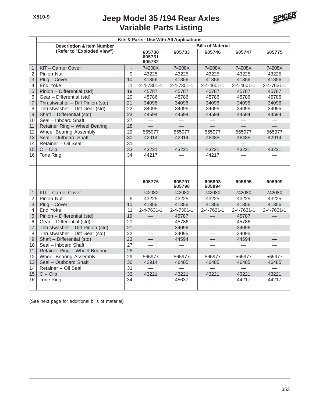

|                         | Kits & Parts - Use With All Applications |                |                            |                    |                  |            |                          |  |  |  |
|-------------------------|------------------------------------------|----------------|----------------------------|--------------------|------------------|------------|--------------------------|--|--|--|
|                         | <b>Description &amp; Item Number</b>     |                | <b>Bills of Material</b>   |                    |                  |            |                          |  |  |  |
|                         | (Refer to "Exploded View")               |                | 605730<br>605731<br>605732 | 605733             | 605746           | 605747     | 605775                   |  |  |  |
| $\mathbf{1}$            | KIT-Carrier Cover                        | $\overline{a}$ | 74208X                     | 74208X             | 74208X           | 74208X     | 74208X                   |  |  |  |
| $\overline{2}$          | Pinion Nut                               | 9              | 43225                      | 43225              | 43225            | 43225      | 43225                    |  |  |  |
| $\mathsf 3$             | Plug - Cover                             | 10             | 41356                      | 41356              | 41356            | 41356      | 41356                    |  |  |  |
| $\overline{4}$          | End Yoke                                 | 11             | $2 - 4 - 7301 - 1$         | 2-4-7301-1         | 2-4-4601-1       | 2-4-4601-1 | 2-4-7631-1               |  |  |  |
| 5                       | Pinion - Differential (std)              | 19             | 45787                      | 45787              | 45787            | 45787      | 45787                    |  |  |  |
| 6                       | Gear - Differential (std)                | 20             | 45786                      | 45786              | 45786            | 45786      | 45786                    |  |  |  |
| $\overline{7}$          | Thrustwasher - Diff Pinion (std)         | 21             | 34096                      | 34096              | 34096            | 34096      | 34096                    |  |  |  |
| 8                       | Thrustwasher - Diff Gear (std)           | 22             | 34095                      | 34095              | 34095            | 34095      | 34095                    |  |  |  |
| $\overline{9}$          | Shaft - Differential (std)               | 23             | 44594                      | 44594              | 44594            | 44594      | 44594                    |  |  |  |
| 10                      | Seal - Inboard Shaft                     | 27             |                            |                    |                  |            |                          |  |  |  |
| 11                      | Retainer Ring - Wheel Bearing            | 28             |                            |                    |                  |            |                          |  |  |  |
| 12                      | <b>Wheel Bearing Assembly</b>            | 29             | 565977                     | 565977             | 565977           | 565977     | 565977                   |  |  |  |
| 13                      | Seal - Outboard Shaft                    | 30             | 42914                      | 42914              | 46485            | 46485      | 42914                    |  |  |  |
| 14                      | Retainer - Oil Seal                      | 31             |                            |                    |                  |            |                          |  |  |  |
| 15                      | $C - Clip$                               | 33             | 43221                      | 43221              | 43221            | 43221      | 43221                    |  |  |  |
| 16                      | Tone Ring                                | 34             | 44217                      |                    | 44217            |            |                          |  |  |  |
|                         |                                          |                |                            |                    |                  |            |                          |  |  |  |
|                         |                                          |                | 605776                     | 605797<br>605798   | 605893<br>605894 | 605895     | 605909                   |  |  |  |
| $\overline{1}$          | KIT-Carrier Cover                        | $\overline{a}$ | 74208X                     | 74208X             | 74208X           | 74208X     | 74208X                   |  |  |  |
| $\overline{2}$          | Pinion Nut                               | 9              | 43225                      | 43225              | 43225            | 43225      | 43225                    |  |  |  |
| 3                       | Plug - Cover                             | 10             | 41356                      | 41356              | 41356            | 41356      | 41356                    |  |  |  |
| $\overline{\mathbf{4}}$ | End Yoke                                 | 11             | 2-4-7631-1                 | $2 - 4 - 7301 - 1$ | 2-4-7631-1       | 2-4-7631-1 | 2-4-7631-1               |  |  |  |
| 5                       | Pinion - Differential (std)              | 19             | $\overline{\phantom{0}}$   | 45787              |                  | 45787      |                          |  |  |  |
| 6                       | Gear - Differential (std)                | 20             |                            | 45786              |                  | 45786      |                          |  |  |  |
| $\overline{7}$          | Thrustwasher - Diff Pinion (std)         | 21             | $\equiv$                   | 34096              |                  | 34096      |                          |  |  |  |
| 8                       | Thrustwasher - Diff Gear (std)           | 22             |                            | 34095              |                  | 34095      |                          |  |  |  |
| $\overline{9}$          | Shaft - Differential (std)               | 23             | $\overline{\phantom{0}}$   | 44594              | $\qquad \qquad$  | 44594      | $\overline{\phantom{0}}$ |  |  |  |
| 10                      | Seal - Inboard Shaft                     | 27             | $\equiv$                   |                    |                  |            |                          |  |  |  |
| 11                      | Retainer Ring - Wheel Bearing            | 28             |                            |                    |                  |            |                          |  |  |  |
| 12                      | Wheel Bearing Assembly                   | 29             | 565977                     | 565977             | 565977           | 565977     | 565977                   |  |  |  |
| 13                      | Seal - Outboard Shaft                    | 30             | 42914                      | 46485              | 46485            | 46485      | 46485                    |  |  |  |
| 14                      | Retainer - Oil Seal                      | 31             |                            |                    |                  |            |                          |  |  |  |
| 15                      | $C - Clip$                               | 33             | 43221                      | 43221              | 43221            | 43221      | 43221                    |  |  |  |
| 16                      | Tone Ring                                | 34             |                            | 45637              |                  | 44217      | 44217                    |  |  |  |
|                         |                                          |                |                            |                    |                  |            |                          |  |  |  |
|                         |                                          |                |                            |                    |                  |            |                          |  |  |  |

(See next page for additional bills of material)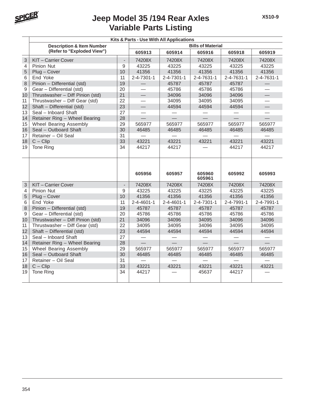

|                | Kits & Parts - Use With All Applications                           |                          |                          |                    |                  |            |                          |  |  |
|----------------|--------------------------------------------------------------------|--------------------------|--------------------------|--------------------|------------------|------------|--------------------------|--|--|
|                | <b>Description &amp; Item Number</b><br>(Refer to "Exploded View") |                          | <b>Bills of Material</b> |                    |                  |            |                          |  |  |
|                |                                                                    |                          | 605913                   | 605914             | 605916           | 605918     | 605919                   |  |  |
| $\mathfrak{S}$ | KIT-Carrier Cover                                                  | $\overline{\phantom{a}}$ | 74208X                   | 74208X             | 74208X           | 74208X     | 74208X                   |  |  |
| $\overline{4}$ | Pinion Nut                                                         | 9                        | 43225                    | 43225              | 43225            | 43225      | 43225                    |  |  |
| 5              | Plug - Cover                                                       | 10                       | 41356                    | 41356              | 41356            | 41356      | 41356                    |  |  |
| 6              | End Yoke                                                           | 11                       | 2-4-7301-1               | 2-4-7301-1         | 2-4-7631-1       | 2-4-7631-1 | 2-4-7631-1               |  |  |
| 8              | Pinion - Differential (std)                                        | 19                       | $\overline{\phantom{0}}$ | 45787              | 45787            | 45787      | $\overline{\phantom{0}}$ |  |  |
| 9              | Gear - Differential (std)                                          | 20                       |                          | 45786              | 45786            | 45786      |                          |  |  |
| 10             | Thrustwasher - Diff Pinion (std)                                   | 21                       | $\equiv$                 | 34096              | 34096            | 34096      | $\qquad \qquad$          |  |  |
| 11             | Thrustwasher - Diff Gear (std)                                     | 22                       |                          | 34095              | 34095            | 34095      |                          |  |  |
| 12             | Shaft - Differential (std)                                         | 23                       | $\qquad \qquad$          | 44594              | 44594            | 44594      |                          |  |  |
| 13             | Seal - Inboard Shaft                                               | 27                       |                          |                    |                  |            |                          |  |  |
| 14             | Retainer Ring - Wheel Bearing                                      | 28                       |                          |                    |                  |            |                          |  |  |
| 15             | Wheel Bearing Assembly                                             | 29                       | 565977                   | 565977             | 565977           | 565977     | 565977                   |  |  |
| 16             | Seal - Outboard Shaft                                              | 30                       | 46485                    | 46485              | 46485            | 46485      | 46485                    |  |  |
| 17             | Retainer - Oil Seal                                                | 31                       |                          |                    |                  |            |                          |  |  |
| 18             | $C - Clip$                                                         | 33                       | 43221                    | 43221              | 43221            | 43221      | 43221                    |  |  |
| 19             | <b>Tone Ring</b>                                                   | 34                       | 44217                    | 44217              |                  | 44217      | 44217                    |  |  |
|                |                                                                    |                          |                          |                    |                  |            |                          |  |  |
|                |                                                                    |                          | 605956                   | 605957             | 605960<br>605961 | 605992     | 605993                   |  |  |
| $\mathfrak{S}$ | KIT-Carrier Cover                                                  | $\overline{a}$           | 74208X                   | 74208X             | 74208X           | 74208X     | 74208X                   |  |  |
| $\overline{4}$ | <b>Pinion Nut</b>                                                  | 9                        | 43225                    | 43225              | 43225            | 43225      | 43225                    |  |  |
| 5              | Plug - Cover                                                       | 10                       | 41356                    | 41356              | 41356            | 41356      | 41356                    |  |  |
| 6              | End Yoke                                                           | 11                       | $2 - 4 - 4601 - 1$       | $2 - 4 - 4601 - 1$ | 2-4-7301-1       | 2-4-7991-1 | 2-4-7991-1               |  |  |
| 8              | Pinion - Differential (std)                                        | 19                       | 45787                    | 45787              | 45787            | 45787      | 45787                    |  |  |
| 9              | Gear - Differential (std)                                          | 20                       | 45786                    | 45786              | 45786            | 45786      | 45786                    |  |  |
| 10             | Thrustwasher - Diff Pinion (std)                                   | 21                       | 34096                    | 34096              | 34095            | 34096      | 34096                    |  |  |
| 11             | Thrustwasher - Diff Gear (std)                                     | $\overline{22}$          | 34095                    | 34095              | 34096            | 34095      | 34095                    |  |  |
| 12             | Shaft - Differential (std)                                         | 23                       | 44594                    | 44594              | 44594            | 44594      | 44594                    |  |  |
| 13             | Seal - Inboard Shaft                                               | 27                       | $\overline{\phantom{0}}$ |                    |                  |            | $\overline{\phantom{0}}$ |  |  |
| 14             | Retainer Ring - Wheel Bearing                                      | 28                       | $\equiv$                 | $\equiv$           | $\equiv$         | $\equiv$   | $\overline{\phantom{0}}$ |  |  |
| 15             | Wheel Bearing Assembly                                             | 29                       | 565977                   | 565977             | 565977           | 565977     | 565977                   |  |  |
| 16             | Seal - Outboard Shaft                                              | 30                       | 46485                    | 46485              | 46485            | 46485      | 46485                    |  |  |
| 17             | Retainer - Oil Seal                                                | 31                       | $\overline{\phantom{a}}$ |                    |                  |            |                          |  |  |
| 18             | $C - Clip$                                                         | 33                       | 43221                    | 43221              | 43221            | 43221      | 43221                    |  |  |
| 19             | <b>Tone Ring</b>                                                   | 34                       | 44217                    |                    | 45637            | 44217      |                          |  |  |